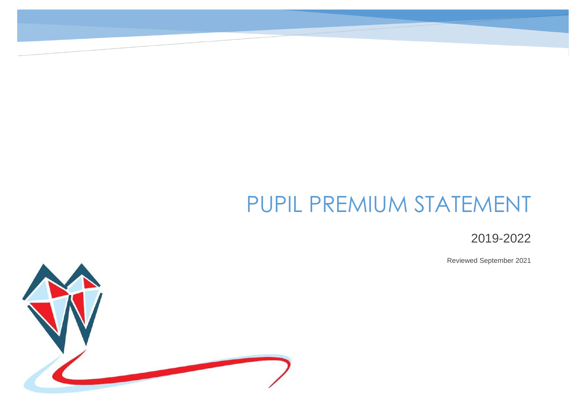# PUPIL PREMIUM STATEMENT

2019-2022

Reviewed September 2021

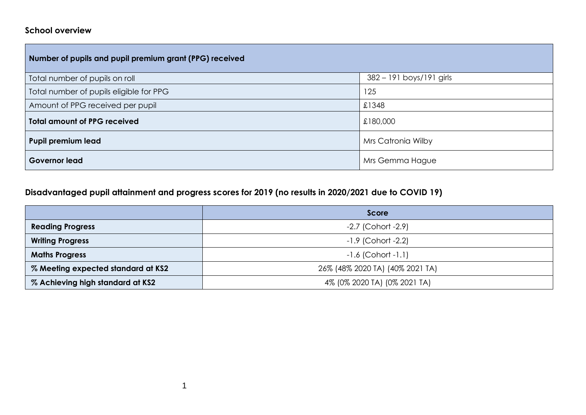#### **School overview**

| Number of pupils and pupil premium grant (PPG) received |                          |  |  |  |  |
|---------------------------------------------------------|--------------------------|--|--|--|--|
| Total number of pupils on roll                          | 382 - 191 boys/191 girls |  |  |  |  |
| Total number of pupils eligible for PPG                 | 125                      |  |  |  |  |
| Amount of PPG received per pupil                        | £1348                    |  |  |  |  |
| <b>Total amount of PPG received</b>                     | £180,000                 |  |  |  |  |
| <b>Pupil premium lead</b>                               | Mrs Catronia Wilby       |  |  |  |  |
| <b>Governor lead</b>                                    | Mrs Gemma Hague          |  |  |  |  |

# **Disadvantaged pupil attainment and progress scores for 2019 (no results in 2020/2021 due to COVID 19)**

|                                    | Score                           |
|------------------------------------|---------------------------------|
| <b>Reading Progress</b>            | $-2.7$ (Cohort $-2.9$ )         |
| <b>Writing Progress</b>            | $-1.9$ (Cohort $-2.2$ )         |
| <b>Maths Progress</b>              | $-1.6$ (Cohort $-1.1$ )         |
| % Meeting expected standard at KS2 | 26% (48% 2020 TA) (40% 2021 TA) |
| % Achieving high standard at KS2   | 4% (0% 2020 TA) (0% 2021 TA)    |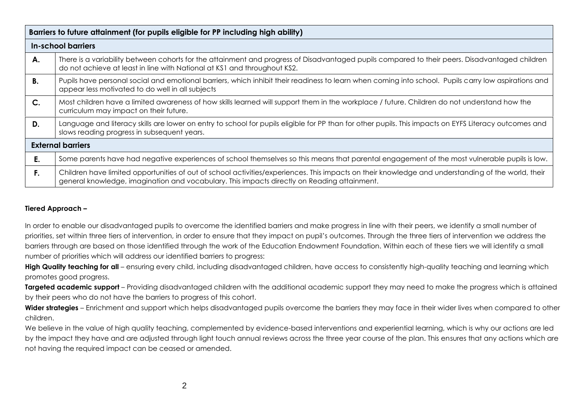|               | Barriers to future attainment (for pupils eligible for PP including high ability)                                                                                                                                                                 |  |  |  |  |
|---------------|---------------------------------------------------------------------------------------------------------------------------------------------------------------------------------------------------------------------------------------------------|--|--|--|--|
|               | In-school barriers                                                                                                                                                                                                                                |  |  |  |  |
| А.            | There is a variability between cohorts for the attainment and progress of Disadvantaged pupils compared to their peers. Disadvantaged children<br>do not achieve at least in line with National at KS1 and throughout KS2.                        |  |  |  |  |
| <b>B.</b>     | Pupils have personal social and emotional barriers, which inhibit their readiness to learn when coming into school. Pupils carry low aspirations and<br>appear less motivated to do well in all subjects                                          |  |  |  |  |
| $\mathsf{C}.$ | Most children have a limited awareness of how skills learned will support them in the workplace / future. Children do not understand how the<br>curriculum may impact on their future.                                                            |  |  |  |  |
| D.            | Language and literacy skills are lower on entry to school for pupils eligible for PP than for other pupils. This impacts on EYFS Literacy outcomes and<br>slows reading progress in subsequent years.                                             |  |  |  |  |
|               | <b>External barriers</b>                                                                                                                                                                                                                          |  |  |  |  |
| Е.            | Some parents have had negative experiences of school themselves so this means that parental engagement of the most vulnerable pupils is low.                                                                                                      |  |  |  |  |
| F.            | Children have limited opportunities of out of school activities/experiences. This impacts on their knowledge and understanding of the world, their<br>general knowledge, imagination and vocabulary. This impacts directly on Reading attainment. |  |  |  |  |

#### **Tiered Approach –**

In order to enable our disadvantaged pupils to overcome the identified barriers and make progress in line with their peers, we identify a small number of priorities, set within three tiers of intervention, in order to ensure that they impact on pupil's outcomes. Through the three tiers of intervention we address the barriers through are based on those identified through the work of the Education Endowment Foundation. Within each of these tiers we will identify a small number of priorities which will address our identified barriers to progress:

**High Quality teaching for all** – ensuring every child, including disadvantaged children, have access to consistently high-quality teaching and learning which promotes good progress.

**Targeted academic support** – Providing disadvantaged children with the additional academic support they may need to make the progress which is attained by their peers who do not have the barriers to progress of this cohort.

Wider strategies – Enrichment and support which helps disadvantaged pupils overcome the barriers they may face in their wider lives when compared to other children.

We believe in the value of high quality teaching, complemented by evidence-based interventions and experiential learning, which is why our actions are led by the impact they have and are adjusted through light touch annual reviews across the three year course of the plan. This ensures that any actions which are not having the required impact can be ceased or amended.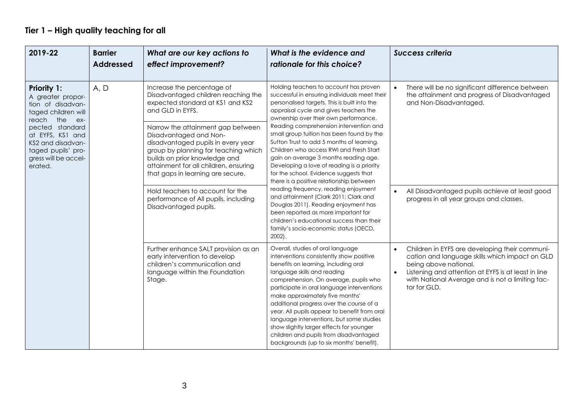# **Tier 1 – High quality teaching for all**

| 2019-22                                                                                                                                                                                                                           | <b>Barrier</b><br><b>Addressed</b> | What are our key actions to<br>effect improvement?                                                                                                                                                                                                       | What is the evidence and<br>rationale for this choice?                                                                                                                                                                                                                                                                                                                                                                                                                                                                                                                                                                                                                                                                                                                                                                                                    | <b>Success criteria</b>                                                                                                                                                                                                                                           |                                                                                                 |
|-----------------------------------------------------------------------------------------------------------------------------------------------------------------------------------------------------------------------------------|------------------------------------|----------------------------------------------------------------------------------------------------------------------------------------------------------------------------------------------------------------------------------------------------------|-----------------------------------------------------------------------------------------------------------------------------------------------------------------------------------------------------------------------------------------------------------------------------------------------------------------------------------------------------------------------------------------------------------------------------------------------------------------------------------------------------------------------------------------------------------------------------------------------------------------------------------------------------------------------------------------------------------------------------------------------------------------------------------------------------------------------------------------------------------|-------------------------------------------------------------------------------------------------------------------------------------------------------------------------------------------------------------------------------------------------------------------|-------------------------------------------------------------------------------------------------|
| <b>Priority 1:</b><br>A greater propor-<br>tion of disadvan-<br>taged children will<br>the<br>reach<br>$ex-$<br>pected standard<br>at EYFS, KS1 and<br>KS2 and disadvan-<br>taged pupils' pro-<br>gress will be accel-<br>erated. | A, D                               | Increase the percentage of<br>Disadvantaged children reaching the<br>expected standard at KS1 and KS2<br>and GLD in EYFS.                                                                                                                                | Holding teachers to account has proven<br>successful in ensuring individuals meet their<br>personalised targets. This is built into the<br>appraisal cycle and gives teachers the<br>ownership over their own performance.<br>Reading comprehension intervention and<br>small group tuition has been found by the<br>Sutton Trust to add 5 months of learning.<br>Children who access RWI and Fresh Start<br>gain on average 3 months reading age.<br>Developing a love of reading is a priority<br>for the school. Evidence suggests that<br>there is a positive relationship between<br>reading frequency, reading enjoyment<br>and attainment (Clark 2011; Clark and<br>Douglas 2011). Reading enjoyment has<br>been reported as more important for<br>children's educational success than their<br>family's socio-economic status (OECD,<br>$2002$ ). | and Non-Disadvantaged.                                                                                                                                                                                                                                            | There will be no significant difference between<br>the attainment and progress of Disadvantaged |
|                                                                                                                                                                                                                                   |                                    | Narrow the attainment gap between<br>Disadvantaged and Non-<br>disadvantaged pupils in every year<br>group by planning for teaching which<br>builds on prior knowledge and<br>attainment for all children, ensuring<br>that gaps in learning are secure. |                                                                                                                                                                                                                                                                                                                                                                                                                                                                                                                                                                                                                                                                                                                                                                                                                                                           |                                                                                                                                                                                                                                                                   |                                                                                                 |
|                                                                                                                                                                                                                                   |                                    | Hold teachers to account for the<br>performance of All pupils, including<br>Disadvantaged pupils.                                                                                                                                                        |                                                                                                                                                                                                                                                                                                                                                                                                                                                                                                                                                                                                                                                                                                                                                                                                                                                           | All Disadvantaged pupils achieve at least good<br>progress in all year groups and classes.                                                                                                                                                                        |                                                                                                 |
|                                                                                                                                                                                                                                   |                                    | Further enhance SALT provision as an<br>early intervention to develop<br>children's communication and<br>language within the Foundation<br>Stage.                                                                                                        | Overall, studies of oral language<br>interventions consistently show positive<br>benefits on learning, including oral<br>language skills and reading<br>comprehension. On average, pupils who<br>participate in oral language interventions<br>make approximately five months'<br>additional progress over the course of a<br>year. All pupils appear to benefit from oral<br>language interventions, but some studies<br>show slightly larger effects for younger<br>children and pupils from disadvantaged<br>backgrounds (up to six months' benefit).                                                                                                                                                                                                                                                                                                  | Children in EYFS are developing their communi-<br>$\bullet$<br>cation and language skills which impact on GLD<br>being above national.<br>Listening and attention at EYFS is at least in line<br>with National Average and is not a limiting fac-<br>tor for GLD. |                                                                                                 |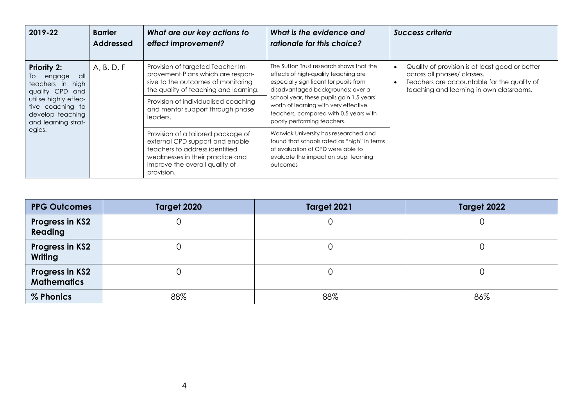| 2019-22                                                                                        | <b>Barrier</b><br><b>Addressed</b> | What are our key actions to<br>effect improvement?                                                                                                    | What is the evidence and<br>rationale for this choice?                                                                                                                                      | Success criteria                                                                                                                                                                       |
|------------------------------------------------------------------------------------------------|------------------------------------|-------------------------------------------------------------------------------------------------------------------------------------------------------|---------------------------------------------------------------------------------------------------------------------------------------------------------------------------------------------|----------------------------------------------------------------------------------------------------------------------------------------------------------------------------------------|
| <b>Priority 2:</b><br>To<br>engage<br>- all<br>teachers in high<br>quality CPD<br>and          | A, B, D, F                         | Provision of targeted Teacher Im-<br>provement Plans which are respon-<br>sive to the outcomes of monitoring<br>the quality of teaching and learning. | The Sutton Trust research shows that the<br>effects of high-quality teaching are<br>especially significant for pupils from<br>disadvantaged backgrounds: over a                             | Quality of provision is at least good or better<br>across all phases/ classes.<br>Teachers are accountable for the quality of<br>$\bullet$<br>teaching and learning in own classrooms. |
| utilise highly effec-<br>tive coaching to<br>develop teaching<br>and learning strat-<br>egies. |                                    | Provision of individualised coaching<br>and mentor support through phase<br>leaders.                                                                  | school year, these pupils gain 1.5 years'<br>worth of learning with very effective<br>teachers, compared with 0.5 years with<br>poorly performing teachers.                                 |                                                                                                                                                                                        |
|                                                                                                |                                    |                                                                                                                                                       | Provision of a tailored package of<br>external CPD support and enable<br>teachers to address identified<br>weaknesses in their practice and<br>improve the overall quality of<br>provision. | Warwick University has researched and<br>found that schools rated as "high" in terms<br>of evaluation of CPD were able to<br>evaluate the impact on pupil learning<br>outcomes         |

| <b>PPG Outcomes</b>                          | Target 2020 | Target 2021 | Target 2022 |
|----------------------------------------------|-------------|-------------|-------------|
| <b>Progress in KS2</b><br>Reading            |             |             |             |
| <b>Progress in KS2</b><br>Writing            |             |             |             |
| <b>Progress in KS2</b><br><b>Mathematics</b> |             |             |             |
| % Phonics                                    | 88%         | 88%         | 86%         |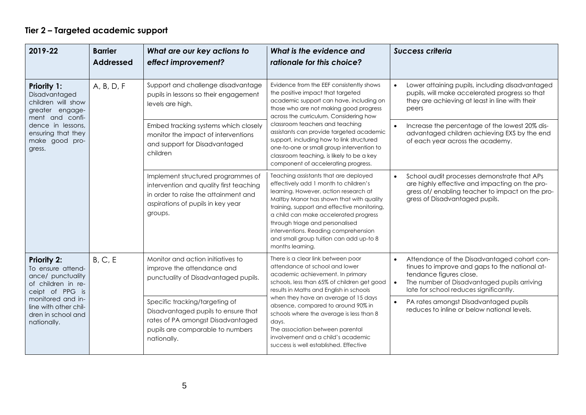### **Tier 2 – Targeted academic support**

| 2019-22                                                                                                                                                                                  | <b>Barrier</b><br><b>Addressed</b> | What are our key actions to<br>effect improvement?                                                                                                                    | What is the evidence and<br>rationale for this choice?                                                                                                                                                                                                                                                                                                                                                                                                                    | <b>Success criteria</b>                                                                                                                                                                                                        |                                                                                                                                                                           |
|------------------------------------------------------------------------------------------------------------------------------------------------------------------------------------------|------------------------------------|-----------------------------------------------------------------------------------------------------------------------------------------------------------------------|---------------------------------------------------------------------------------------------------------------------------------------------------------------------------------------------------------------------------------------------------------------------------------------------------------------------------------------------------------------------------------------------------------------------------------------------------------------------------|--------------------------------------------------------------------------------------------------------------------------------------------------------------------------------------------------------------------------------|---------------------------------------------------------------------------------------------------------------------------------------------------------------------------|
| <b>Priority 1:</b><br>Disadvantaged<br>children will show<br>greater engage-<br>ment and confi-<br>dence in lessons,<br>ensuring that they<br>make good pro-<br>gress.                   | A, B, D, F                         | Support and challenge disadvantage<br>pupils in lessons so their engagement<br>levels are high.                                                                       | Evidence from the EEF consistently shows<br>the positive impact that targeted<br>academic support can have, including on<br>those who are not making good progress<br>across the curriculum. Considering how<br>classroom teachers and teaching<br>assistants can provide targeted academic<br>support, including how to link structured<br>one-to-one or small group intervention to<br>classroom teaching, is likely to be a key<br>component of accelerating progress. |                                                                                                                                                                                                                                | Lower attaining pupils, including disadvantaged<br>$\bullet$<br>pupils, will make accelerated progress so that<br>they are achieving at least in line with their<br>peers |
|                                                                                                                                                                                          |                                    | Embed tracking systems which closely<br>monitor the impact of interventions<br>and support for Disadvantaged<br>children                                              |                                                                                                                                                                                                                                                                                                                                                                                                                                                                           | Increase the percentage of the lowest 20% dis-<br>advantaged children achieving EXS by the end<br>of each year across the academy.                                                                                             |                                                                                                                                                                           |
|                                                                                                                                                                                          |                                    | Implement structured programmes of<br>intervention and quality first teaching<br>in order to raise the attainment and<br>aspirations of pupils in key year<br>groups. | Teaching assistants that are deployed<br>effectively add 1 month to children's<br>learning. However, action research at<br>Maltby Manor has shown that with quality<br>training, support and effective monitoring,<br>a child can make accelerated progress<br>through triage and personalised<br>interventions. Reading comprehension<br>and small group tuition can add up-to 8<br>months learning.                                                                     | School audit processes demonstrate that APs<br>$\bullet$<br>are highly effective and impacting on the pro-<br>gress of/enabling teacher to impact on the pro-<br>gress of Disadvantaged pupils.                                |                                                                                                                                                                           |
| <b>Priority 2:</b><br>To ensure attend-<br>ance/ punctuality<br>of children in re-<br>ceipt of PPG is<br>monitored and in-<br>line with other chil-<br>dren in school and<br>nationally. | B, C, E                            | Monitor and action initiatives to<br>improve the attendance and<br>punctuality of Disadvantaged pupils.                                                               | There is a clear link between poor<br>attendance at school and lower<br>academic achievement. In primary<br>schools, less than 65% of children get good<br>results in Maths and English in schools<br>when they have an average of 15 days<br>absence, compared to around 90% in<br>schools where the average is less than 8<br>days.<br>The association between parental<br>involvement and a child's academic<br>success is well established. Effective                 | Attendance of the Disadvantaged cohort con-<br>tinues to improve and gaps to the national at-<br>tendance figures close.<br>The number of Disadvantaged pupils arriving<br>$\bullet$<br>late for school reduces significantly. |                                                                                                                                                                           |
|                                                                                                                                                                                          |                                    | Specific tracking/targeting of<br>Disadvantaged pupils to ensure that<br>rates of PA amongst Disadvantaged<br>pupils are comparable to numbers<br>nationally.         |                                                                                                                                                                                                                                                                                                                                                                                                                                                                           | PA rates amongst Disadvantaged pupils<br>reduces to inline or below national levels.                                                                                                                                           |                                                                                                                                                                           |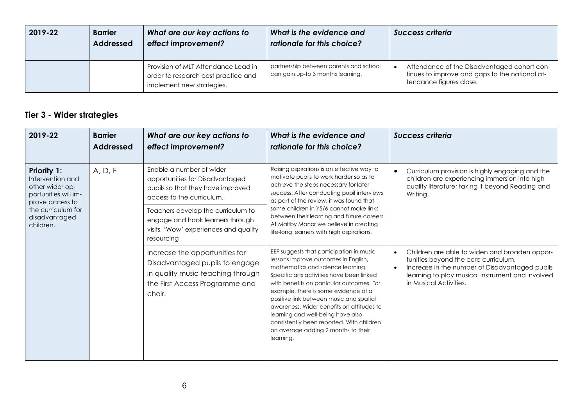| 2019-22 | <b>Barrier</b><br><b>Addressed</b> | What are our key actions to<br>effect improvement?                                                      | What is the evidence and<br>rationale for this choice?                      | <b>Success criteria</b>                                                                                                  |
|---------|------------------------------------|---------------------------------------------------------------------------------------------------------|-----------------------------------------------------------------------------|--------------------------------------------------------------------------------------------------------------------------|
|         |                                    | Provision of MLT Attendance Lead in<br>order to research best practice and<br>implement new strategies. | partnership between parents and school<br>can gain up-to 3 months learning. | Attendance of the Disadvantaged cohort con-<br>tinues to improve and gaps to the national at-<br>tendance figures close. |

# **Tier 3 - Wider strategies**

| 2019-22                                                                                                                                                  | <b>Barrier</b><br><b>Addressed</b> | What are our key actions to<br>effect improvement?                                                                                                | What is the evidence and<br>rationale for this choice?                                                                                                                                                                                                                                                                                                                                                                                                                                | <b>Success criteria</b>                                                                                                                                                                                                                         |
|----------------------------------------------------------------------------------------------------------------------------------------------------------|------------------------------------|---------------------------------------------------------------------------------------------------------------------------------------------------|---------------------------------------------------------------------------------------------------------------------------------------------------------------------------------------------------------------------------------------------------------------------------------------------------------------------------------------------------------------------------------------------------------------------------------------------------------------------------------------|-------------------------------------------------------------------------------------------------------------------------------------------------------------------------------------------------------------------------------------------------|
| <b>Priority 1:</b><br>Intervention and<br>other wider op-<br>portunities will im-<br>prove access to<br>the curriculum for<br>disadvantaged<br>children. | A, D, F                            | Enable a number of wider<br>opportunities for Disadvantaged<br>pupils so that they have improved<br>access to the curriculum.                     | Raising aspirations is an effective way to<br>motivate pupils to work harder so as to<br>achieve the steps necessary for later<br>success. After conducting pupil interviews<br>as part of the review, it was found that<br>some children in Y5/6 cannot make links<br>between their learning and future careers.<br>At Maltby Manor we believe in creating<br>life-long learners with high aspirations.                                                                              | Curriculum provision is highly engaging and the<br>children are experiencing immersion into high<br>quality literature; taking it beyond Reading and<br>Writing.                                                                                |
|                                                                                                                                                          |                                    | Teachers develop the curriculum to<br>engage and hook learners through<br>visits, 'Wow' experiences and quality<br>resourcing                     |                                                                                                                                                                                                                                                                                                                                                                                                                                                                                       |                                                                                                                                                                                                                                                 |
|                                                                                                                                                          |                                    | Increase the opportunities for<br>Disadvantaged pupils to engage<br>in quality music teaching through<br>the First Access Programme and<br>choir. | EEF suggests that participation in music<br>lessons improve outcomes in English,<br>mathematics and science learning.<br>Specific arts activities have been linked<br>with benefits on particular outcomes. For<br>example, there is some evidence of a<br>positive link between music and spatial<br>awareness. Wider benefits on attitudes to<br>learning and well-being have also<br>consistently been reported. With children<br>on average adding 2 months to their<br>learning. | Children are able to widen and broaden oppor-<br>$\bullet$<br>tunities beyond the core curriculum.<br>Increase in the number of Disadvantaged pupils<br>$\bullet$<br>learning to play musical instrument and involved<br>in Musical Activities. |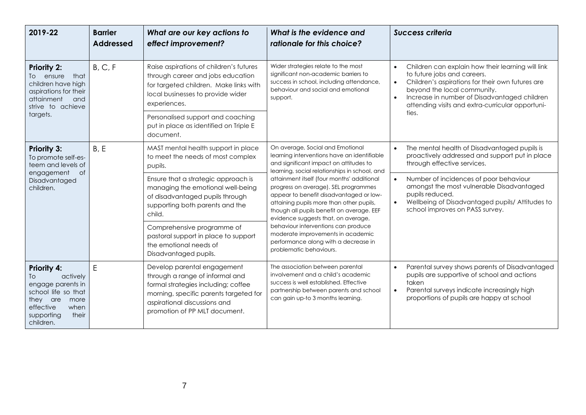| 2019-22                                                                                                                                                       | <b>Barrier</b><br><b>Addressed</b> | What are our key actions to<br>effect improvement?                                                                                                                                                               | What is the evidence and<br>rationale for this choice?                                                                                                                                                                                                                                                                                                                                                                                                                                                                                                                                     | <b>Success criteria</b>                                                                                                                                                                                                                                                                           |
|---------------------------------------------------------------------------------------------------------------------------------------------------------------|------------------------------------|------------------------------------------------------------------------------------------------------------------------------------------------------------------------------------------------------------------|--------------------------------------------------------------------------------------------------------------------------------------------------------------------------------------------------------------------------------------------------------------------------------------------------------------------------------------------------------------------------------------------------------------------------------------------------------------------------------------------------------------------------------------------------------------------------------------------|---------------------------------------------------------------------------------------------------------------------------------------------------------------------------------------------------------------------------------------------------------------------------------------------------|
| <b>Priority 2:</b><br>To ensure<br>that<br>children have high<br>aspirations for their<br>attainment<br>and<br>strive to achieve<br>targets.                  | B, C, F                            | Raise aspirations of children's futures<br>through career and jobs education<br>for targeted children. Make links with<br>local businesses to provide wider<br>experiences.                                      | Wider strategies relate to the most<br>significant non-academic barriers to<br>success in school, including attendance,<br>behaviour and social and emotional<br>support.                                                                                                                                                                                                                                                                                                                                                                                                                  | Children can explain how their learning will link<br>$\bullet$<br>to future jobs and careers.<br>Children's aspirations for their own futures are<br>$\bullet$<br>beyond the local community.<br>Increase in number of Disadvantaged children<br>attending visits and extra-curricular opportuni- |
|                                                                                                                                                               |                                    | Personalised support and coaching<br>put in place as identified on Triple E<br>document.                                                                                                                         |                                                                                                                                                                                                                                                                                                                                                                                                                                                                                                                                                                                            | ties.                                                                                                                                                                                                                                                                                             |
| <b>Priority 3:</b><br>To promote self-es-<br>teem and levels of<br><b>of</b><br>engagement<br>Disadvantaged<br>children.                                      | B, E                               | MAST mental health support in place<br>to meet the needs of most complex<br>pupils.                                                                                                                              | On average, Social and Emotional<br>learning interventions have an identifiable<br>and significant impact on attitudes to<br>learning, social relationships in school, and<br>attainment itself (four months' additional<br>progress on average). SEL programmes<br>appear to benefit disadvantaged or low-<br>attaining pupils more than other pupils,<br>though all pupils benefit on average. EEF<br>evidence suggests that, on average,<br>behaviour interventions can produce<br>moderate improvements in academic<br>performance along with a decrease in<br>problematic behaviours. | The mental health of Disadvantaged pupils is<br>proactively addressed and support put in place<br>through effective services.                                                                                                                                                                     |
|                                                                                                                                                               |                                    | Ensure that a strategic approach is<br>managing the emotional well-being<br>of disadvantaged pupils through<br>supporting both parents and the<br>child.                                                         |                                                                                                                                                                                                                                                                                                                                                                                                                                                                                                                                                                                            | Number of incidences of poor behaviour<br>$\bullet$<br>amongst the most vulnerable Disadvantaged<br>pupils reduced.<br>Wellbeing of Disadvantaged pupils/ Attitudes to<br>$\bullet$<br>school improves on PASS survey.                                                                            |
|                                                                                                                                                               |                                    | Comprehensive programme of<br>pastoral support in place to support<br>the emotional needs of<br>Disadvantaged pupils.                                                                                            |                                                                                                                                                                                                                                                                                                                                                                                                                                                                                                                                                                                            |                                                                                                                                                                                                                                                                                                   |
| <b>Priority 4:</b><br>actively<br>To<br>engage parents in<br>school life so that<br>they are<br>more<br>effective<br>when<br>their<br>supporting<br>children. | E                                  | Develop parental engagement<br>through a range of informal and<br>formal strategies including; coffee<br>morning, specific parents targeted for<br>aspirational discussions and<br>promotion of PP MLT document. | The association between parental<br>involvement and a child's academic<br>success is well established. Effective<br>partnership between parents and school<br>can gain up-to 3 months learning.                                                                                                                                                                                                                                                                                                                                                                                            | Parental survey shows parents of Disadvantaged<br>pupils are supportive of school and actions<br>taken<br>Parental surveys indicate increasingly high<br>$\bullet$<br>proportions of pupils are happy at school                                                                                   |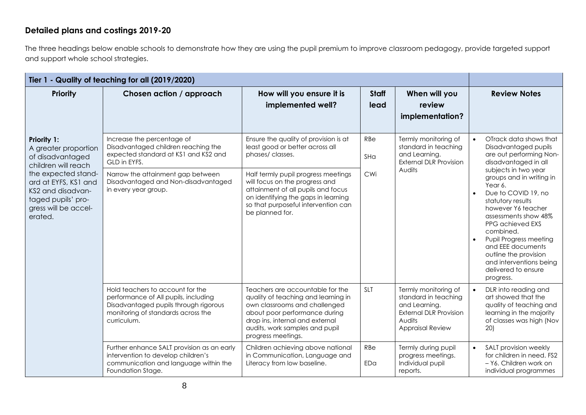#### **Detailed plans and costings 2019-20**

The three headings below enable schools to demonstrate how they are using the pupil premium to improve classroom pedagogy, provide targeted support and support whole school strategies.

| Tier 1 - Quality of teaching for all (2019/2020)                                                                          |                                                                                                                                                                        |                                                                                                                                                                                                                                      |                      |                                                                                                                                     |                                                                                                                                                                                                                                                                                                                                                         |
|---------------------------------------------------------------------------------------------------------------------------|------------------------------------------------------------------------------------------------------------------------------------------------------------------------|--------------------------------------------------------------------------------------------------------------------------------------------------------------------------------------------------------------------------------------|----------------------|-------------------------------------------------------------------------------------------------------------------------------------|---------------------------------------------------------------------------------------------------------------------------------------------------------------------------------------------------------------------------------------------------------------------------------------------------------------------------------------------------------|
| <b>Priority</b>                                                                                                           | Chosen action / approach                                                                                                                                               | How will you ensure it is<br>implemented well?                                                                                                                                                                                       | <b>Staff</b><br>lead | When will you<br>review<br>implementation?                                                                                          | <b>Review Notes</b>                                                                                                                                                                                                                                                                                                                                     |
| Priority 1:<br>A greater proportion<br>of disadvantaged<br>children will reach                                            | Increase the percentage of<br>Disadvantaged children reaching the<br>expected standard at KS1 and KS2 and<br>GLD in EYFS.                                              | Ensure the quality of provision is at<br>least good or better across all<br>phases/classes.                                                                                                                                          | RBe<br>SHa           | Termly monitoring of<br>standard in teaching<br>and Learning.<br><b>External DLR Provision</b>                                      | OTrack data shows that<br>Disadvantaged pupils<br>are out performing Non-<br>disadvantaged in all                                                                                                                                                                                                                                                       |
| the expected stand-<br>ard at EYFS, KS1 and<br>KS2 and disadvan-<br>taged pupils' pro-<br>gress will be accel-<br>erated. | Narrow the attainment gap between<br>Disadvantaged and Non-disadvantaged<br>in every year group.                                                                       | Half termly pupil progress meetings<br>will focus on the progress and<br>attainment of all pupils and focus<br>on identifying the gaps in learning<br>so that purposeful intervention can<br>be planned for.                         | CWi                  | Audits                                                                                                                              | subjects in two year<br>groups and in writing in<br>Year 6.<br>Due to COVID 19, no<br>$\bullet$<br>statutory results<br>however Y6 teacher<br>assessments show 48%<br>PPG achieved EXS<br>combined.<br>Pupil Progress meeting<br>$\bullet$<br>and EEE documents<br>outline the provision<br>and interventions being<br>delivered to ensure<br>progress. |
|                                                                                                                           | Hold teachers to account for the<br>performance of All pupils, including<br>Disadvantaged pupils through rigorous<br>monitoring of standards across the<br>curriculum. | Teachers are accountable for the<br>quality of teaching and learning in<br>own classrooms and challenged<br>about poor performance during<br>drop ins, internal and external<br>audits, work samples and pupil<br>progress meetings. | <b>SLT</b>           | Termly monitoring of<br>standard in teaching<br>and Learning.<br><b>External DLR Provision</b><br>Audits<br><b>Appraisal Review</b> | DLR into reading and<br>$\bullet$<br>art showed that the<br>quality of teaching and<br>learning in the majority<br>of classes was high (Nov<br>20)                                                                                                                                                                                                      |
|                                                                                                                           | Further enhance SALT provision as an early<br>intervention to develop children's<br>communication and language within the<br>Foundation Stage.                         | Children achieving above national<br>in Communication, Language and<br>Literacy from low baseline.                                                                                                                                   | RBe<br>EDa           | Termly during pupil<br>progress meetings.<br>Individual pupil<br>reports.                                                           | SALT provision weekly<br>$\bullet$<br>for children in need. FS2<br>- Y6. Children work on<br>individual programmes                                                                                                                                                                                                                                      |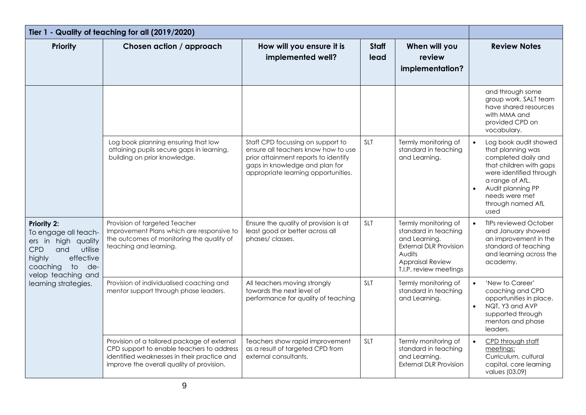| Tier 1 - Quality of teaching for all (2019/2020)                                                                                                                               |                                                                                                                                                                                      |                                                                                                                                                                                           |                      |                                                                                                                                                               |                                                                                                                                                                                                                             |
|--------------------------------------------------------------------------------------------------------------------------------------------------------------------------------|--------------------------------------------------------------------------------------------------------------------------------------------------------------------------------------|-------------------------------------------------------------------------------------------------------------------------------------------------------------------------------------------|----------------------|---------------------------------------------------------------------------------------------------------------------------------------------------------------|-----------------------------------------------------------------------------------------------------------------------------------------------------------------------------------------------------------------------------|
| Priority                                                                                                                                                                       | Chosen action / approach                                                                                                                                                             | How will you ensure it is<br>implemented well?                                                                                                                                            | <b>Staff</b><br>lead | When will you<br>review<br>implementation?                                                                                                                    | <b>Review Notes</b>                                                                                                                                                                                                         |
|                                                                                                                                                                                |                                                                                                                                                                                      |                                                                                                                                                                                           |                      |                                                                                                                                                               | and through some<br>group work. SALT team<br>have shared resources<br>with MMA and<br>provided CPD on<br>vocabulary.                                                                                                        |
|                                                                                                                                                                                | Log book planning ensuring that low<br>attaining pupils secure gaps in learning,<br>building on prior knowledge.                                                                     | Staff CPD focussing on support to<br>ensure all teachers know how to use<br>prior attainment reports to identify<br>gaps in knowledge and plan for<br>appropriate learning opportunities. | SLT                  | Termly monitoring of<br>standard in teaching<br>and Learning.                                                                                                 | Log book audit showed<br>$\bullet$<br>that planning was<br>completed daily and<br>that children with gaps<br>were identified through<br>a range of AfL.<br>Audit planning PP<br>needs were met<br>through named AfL<br>used |
| Priority 2:<br>To engage all teach-<br>ers in high quality<br>CPD<br>and<br>utilise<br>highly<br>effective<br>coaching<br>to de-<br>velop teaching and<br>learning strategies. | Provision of targeted Teacher<br>Improvement Plans which are responsive to<br>the outcomes of monitoring the quality of<br>teaching and learning.                                    | Ensure the quality of provision is at<br>least good or better across all<br>phases/classes.                                                                                               | <b>SLT</b>           | Termly monitoring of<br>standard in teaching<br>and Learning.<br><b>External DLR Provision</b><br>Audits<br><b>Appraisal Review</b><br>T.I.P. review meetings | <b>TIPs reviewed October</b><br>$\bullet$<br>and January showed<br>an improvement in the<br>standard of teaching<br>and learning across the<br>academy.                                                                     |
|                                                                                                                                                                                | Provision of individualised coaching and<br>mentor support through phase leaders.                                                                                                    | All teachers moving strongly<br>towards the next level of<br>performance for quality of teaching                                                                                          | <b>SLT</b>           | Termly monitoring of<br>standard in teaching<br>and Learning.                                                                                                 | 'New to Career'<br>$\bullet$<br>coaching and CPD<br>opportunities in place.<br>NQT, Y3 and AVP<br>$\bullet$<br>supported through<br>mentors and phase<br>leaders.                                                           |
|                                                                                                                                                                                | Provision of a tailored package of external<br>CPD support to enable teachers to address<br>identified weaknesses in their practice and<br>improve the overall quality of provision. | Teachers show rapid improvement<br>as a result of targeted CPD from<br>external consultants.                                                                                              | <b>SLT</b>           | Termly monitoring of<br>standard in teaching<br>and Learning.<br><b>External DLR Provision</b>                                                                | CPD through staff<br>$\bullet$<br>meetings:<br>Curriculum, cultural<br>capital, core learning<br>values (03.09)                                                                                                             |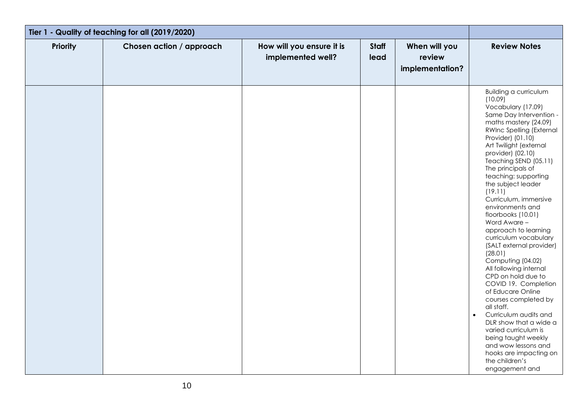| Tier 1 - Quality of teaching for all (2019/2020) |                          |                                                |                      |                                            |                                                                                                                                                                                                                                                                                                                                                                                                                                                                                                                                                                                                                                                                                                                                                                                                                                                                 |
|--------------------------------------------------|--------------------------|------------------------------------------------|----------------------|--------------------------------------------|-----------------------------------------------------------------------------------------------------------------------------------------------------------------------------------------------------------------------------------------------------------------------------------------------------------------------------------------------------------------------------------------------------------------------------------------------------------------------------------------------------------------------------------------------------------------------------------------------------------------------------------------------------------------------------------------------------------------------------------------------------------------------------------------------------------------------------------------------------------------|
| <b>Priority</b>                                  | Chosen action / approach | How will you ensure it is<br>implemented well? | <b>Staff</b><br>lead | When will you<br>review<br>implementation? | <b>Review Notes</b>                                                                                                                                                                                                                                                                                                                                                                                                                                                                                                                                                                                                                                                                                                                                                                                                                                             |
|                                                  |                          |                                                |                      |                                            | <b>Building a curriculum</b><br>(10.09)<br>Vocabulary (17.09)<br>Same Day Intervention -<br>maths mastery (24.09)<br>RWInc Spelling (External<br>Provider) (01.10)<br>Art Twilight (external<br>provider) (02.10)<br>Teaching SEND (05.11)<br>The principals of<br>teaching: supporting<br>the subject leader<br>(19.11)<br>Curriculum, immersive<br>environments and<br>floorbooks (10.01)<br>Word Aware -<br>approach to learning<br>curriculum vocabulary<br>(SALT external provider)<br>(28.01)<br>Computing (04.02)<br>All following internal<br>CPD on hold due to<br>COVID 19. Completion<br>of Educare Online<br>courses completed by<br>all staff.<br>Curriculum audits and<br>$\bullet$<br>DLR show that a wide a<br>varied curriculum is<br>being taught weekly<br>and wow lessons and<br>hooks are impacting on<br>the children's<br>engagement and |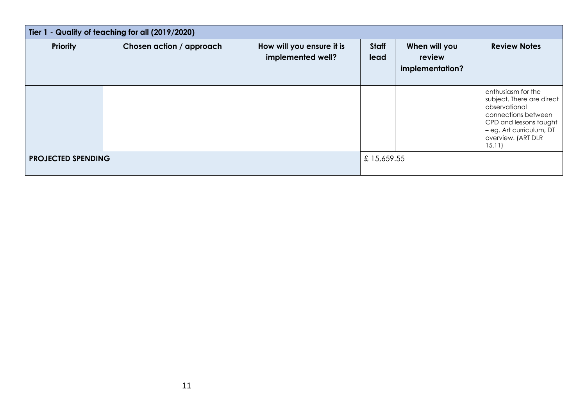| Tier 1 - Quality of teaching for all (2019/2020) |                          |                                                |                      |                                            |                                                                                                                                                                              |
|--------------------------------------------------|--------------------------|------------------------------------------------|----------------------|--------------------------------------------|------------------------------------------------------------------------------------------------------------------------------------------------------------------------------|
| <b>Priority</b>                                  | Chosen action / approach | How will you ensure it is<br>implemented well? | <b>Staff</b><br>lead | When will you<br>review<br>implementation? | <b>Review Notes</b>                                                                                                                                                          |
|                                                  |                          |                                                |                      |                                            | enthusiasm for the<br>subject. There are direct<br>observational<br>connections between<br>CPD and lessons taught<br>- eg. Art curriculum, DT<br>overview. (ART DLR<br>15.11 |
| <b>PROJECTED SPENDING</b>                        |                          |                                                | £15,659.55           |                                            |                                                                                                                                                                              |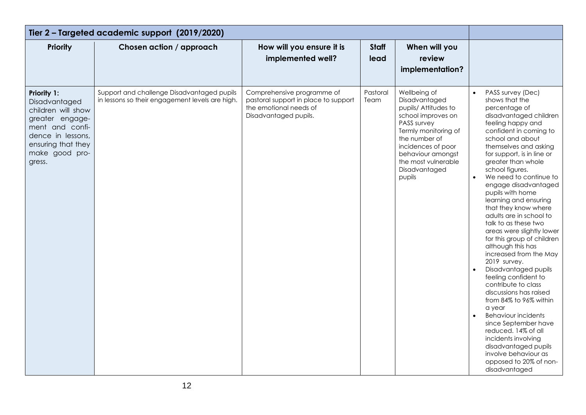| Tier 2 - Targeted academic support (2019/2020)                                                                                                                  |                                                                                               |                                                                                                                       |                      |                                                                                                                                                                                                                                  |                                                                                                                                                                                                                                                                                                                                                                                                                                                                                                                                                                                                                                                                                                                                                                                                                                                                                                                                               |
|-----------------------------------------------------------------------------------------------------------------------------------------------------------------|-----------------------------------------------------------------------------------------------|-----------------------------------------------------------------------------------------------------------------------|----------------------|----------------------------------------------------------------------------------------------------------------------------------------------------------------------------------------------------------------------------------|-----------------------------------------------------------------------------------------------------------------------------------------------------------------------------------------------------------------------------------------------------------------------------------------------------------------------------------------------------------------------------------------------------------------------------------------------------------------------------------------------------------------------------------------------------------------------------------------------------------------------------------------------------------------------------------------------------------------------------------------------------------------------------------------------------------------------------------------------------------------------------------------------------------------------------------------------|
| <b>Priority</b>                                                                                                                                                 | Chosen action / approach                                                                      | How will you ensure it is<br>implemented well?                                                                        | <b>Staff</b><br>lead | When will you<br>review<br>implementation?                                                                                                                                                                                       |                                                                                                                                                                                                                                                                                                                                                                                                                                                                                                                                                                                                                                                                                                                                                                                                                                                                                                                                               |
| Priority 1:<br>Disadvantaged<br>children will show<br>greater engage-<br>ment and confi-<br>dence in lessons,<br>ensuring that they<br>make good pro-<br>gress. | Support and challenge Disadvantaged pupils<br>in lessons so their engagement levels are high. | Comprehensive programme of<br>pastoral support in place to support<br>the emotional needs of<br>Disadvantaged pupils. | Pastoral<br>Team     | Wellbeing of<br>Disadvantaged<br>pupils/ Attitudes to<br>school improves on<br>PASS survey<br>Termly monitoring of<br>the number of<br>incidences of poor<br>behaviour amongst<br>the most vulnerable<br>Disadvantaged<br>pupils | PASS survey (Dec)<br>$\bullet$<br>shows that the<br>percentage of<br>disadvantaged children<br>feeling happy and<br>confident in coming to<br>school and about<br>themselves and asking<br>for support, is in line or<br>greater than whole<br>school figures.<br>$\bullet$<br>We need to continue to<br>engage disadvantaged<br>pupils with home<br>learning and ensuring<br>that they know where<br>adults are in school to<br>talk to as these two<br>areas were slightly lower<br>for this group of children<br>although this has<br>increased from the May<br>2019 survey.<br>Disadvantaged pupils<br>$\bullet$<br>feeling confident to<br>contribute to class<br>discussions has raised<br>from 84% to 96% within<br>a year<br><b>Behaviour incidents</b><br>$\bullet$<br>since September have<br>reduced. 14% of all<br>incidents involving<br>disadvantaged pupils<br>involve behaviour as<br>opposed to 20% of non-<br>disadvantaged |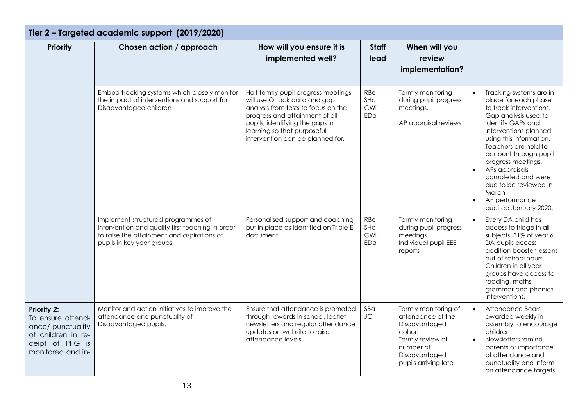| Tier 2 - Targeted academic support (2019/2020)                                                                             |                                                                                                                                                                    |                                                                                                                                                                                                                                                    |                          |                                                                                                                                                |                                                                                                                                                                                                                                                                                                                                                                                                   |
|----------------------------------------------------------------------------------------------------------------------------|--------------------------------------------------------------------------------------------------------------------------------------------------------------------|----------------------------------------------------------------------------------------------------------------------------------------------------------------------------------------------------------------------------------------------------|--------------------------|------------------------------------------------------------------------------------------------------------------------------------------------|---------------------------------------------------------------------------------------------------------------------------------------------------------------------------------------------------------------------------------------------------------------------------------------------------------------------------------------------------------------------------------------------------|
| Priority                                                                                                                   | Chosen action / approach                                                                                                                                           | How will you ensure it is<br>implemented well?                                                                                                                                                                                                     | <b>Staff</b><br>lead     | When will you<br>review<br>implementation?                                                                                                     |                                                                                                                                                                                                                                                                                                                                                                                                   |
|                                                                                                                            | Embed tracking systems which closely monitor<br>the impact of interventions and support for<br>Disadvantaged children                                              | Half termly pupil progress meetings<br>will use Otrack data and gap<br>analysis from tests to focus on the<br>progress and attainment of all<br>pupils; identifying the gaps in<br>learning so that purposeful<br>intervention can be planned for. | RBe<br>SHa<br>CWi<br>EDa | Termly monitoring<br>during pupil progress<br>meetings.<br>AP appraisal reviews                                                                | Tracking systems are in<br>place for each phase<br>to track interventions.<br>Gap analysis used to<br>identify GAPs and<br>interventions planned<br>using this information.<br>Teachers are held to<br>account through pupil<br>progress meetings.<br>APs appraisals<br>$\bullet$<br>completed and were<br>due to be reviewed in<br>March<br>AP performance<br>$\bullet$<br>audited January 2020. |
|                                                                                                                            | Implement structured programmes of<br>intervention and quality first teaching in order<br>to raise the attainment and aspirations of<br>pupils in key year groups. | Personalised support and coaching<br>put in place as identified on Triple E<br>document                                                                                                                                                            | RBe<br>SHa<br>CWi<br>EDa | Termly monitoring<br>during pupil progress<br>meetings.<br>Individual pupil EEE<br>reports                                                     | Every DA child has<br>$\bullet$<br>access to triage in all<br>subjects. 31% of year 6<br>DA pupils access<br>addition booster lessons<br>out of school hours.<br>Children in all year<br>groups have access to<br>reading, maths<br>grammar and phonics<br>interventions.                                                                                                                         |
| <b>Priority 2:</b><br>To ensure attend-<br>ance/ punctuality<br>of children in re-<br>ceipt of PPG is<br>monitored and in- | Monitor and action initiatives to improve the<br>attendance and punctuality of<br>Disadvantaged pupils.                                                            | Ensure that attendance is promoted<br>through rewards in school, leaflet,<br>newsletters and regular attendance<br>updates on website to raise<br>attendance levels.                                                                               | SBa<br><b>JCI</b>        | Termly monitoring of<br>attendance of the<br>Disadvantaged<br>cohort<br>Termly review of<br>number of<br>Disadvantaged<br>pupils arriving late | Attendance Bears<br>$\bullet$<br>awarded weekly in<br>assembly to encourage<br>children.<br>Newsletters remind<br>$\bullet$<br>parents of importance<br>of attendance and<br>punctuality and inform<br>on attendance targets.                                                                                                                                                                     |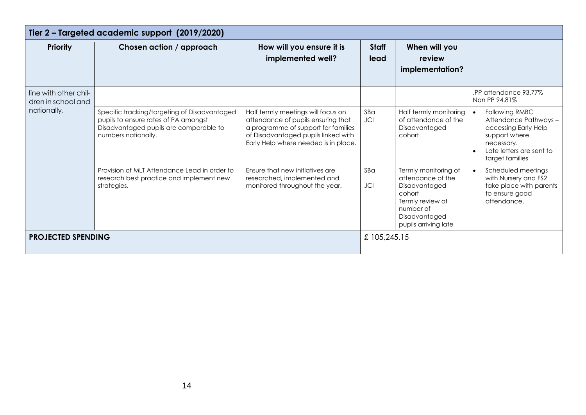| Tier 2 - Targeted academic support (2019/2020) |                                                                                                                                                       |                                                                                                                                                                                                |                      |                                                                                                                                                |                                                                                                                                                            |
|------------------------------------------------|-------------------------------------------------------------------------------------------------------------------------------------------------------|------------------------------------------------------------------------------------------------------------------------------------------------------------------------------------------------|----------------------|------------------------------------------------------------------------------------------------------------------------------------------------|------------------------------------------------------------------------------------------------------------------------------------------------------------|
| <b>Priority</b>                                | Chosen action / approach                                                                                                                              | How will you ensure it is<br>implemented well?                                                                                                                                                 | <b>Staff</b><br>lead | When will you<br>review<br>implementation?                                                                                                     |                                                                                                                                                            |
| line with other chil-<br>dren in school and    |                                                                                                                                                       |                                                                                                                                                                                                |                      |                                                                                                                                                | PP attendance 93.77%<br>Non PP 94.81%                                                                                                                      |
| nationally.                                    | Specific tracking/targeting of Disadvantaged<br>pupils to ensure rates of PA amongst<br>Disadvantaged pupils are comparable to<br>numbers nationally. | Half termly meetings will focus on<br>attendance of pupils ensuring that<br>a programme of support for families<br>of Disadvantaged pupils linked with<br>Early Help where needed is in place. | SBa<br><b>JCI</b>    | Half termly monitoring<br>of attendance of the<br>Disadvantaged<br>cohort                                                                      | Following RMBC<br>$\bullet$<br>Attendance Pathways -<br>accessing Early Help<br>support where<br>necessary.<br>Late letters are sent to<br>target families |
|                                                | Provision of MLT Attendance Lead in order to<br>research best practice and implement new<br>strategies.                                               | Ensure that new initiatives are<br>researched, implemented and<br>monitored throughout the year.                                                                                               | SBa<br><b>JCI</b>    | Termly monitoring of<br>attendance of the<br>Disadvantaged<br>cohort<br>Termly review of<br>number of<br>Disadvantaged<br>pupils arriving late | Scheduled meetings<br>$\bullet$<br>with Nursery and FS2<br>take place with parents<br>to ensure good<br>attendance.                                        |
| <b>PROJECTED SPENDING</b>                      |                                                                                                                                                       |                                                                                                                                                                                                | £105,245.15          |                                                                                                                                                |                                                                                                                                                            |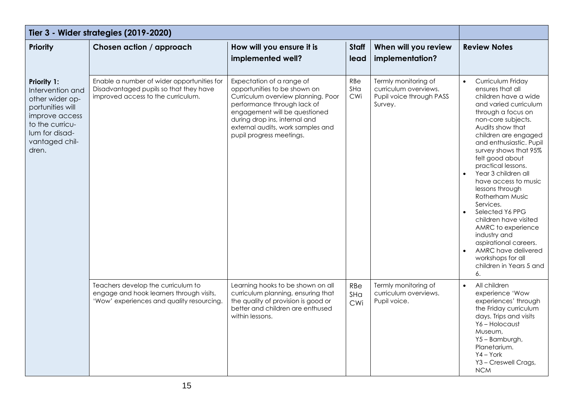| Tier 3 - Wider strategies (2019-2020)                                                                                                                           |                                                                                                                             |                                                                                                                                                                                                                                                                   |                      |                                                                                      |                                                                                                                                                                                                                                                                                                                                                                                                                                                                                                                                                                                    |
|-----------------------------------------------------------------------------------------------------------------------------------------------------------------|-----------------------------------------------------------------------------------------------------------------------------|-------------------------------------------------------------------------------------------------------------------------------------------------------------------------------------------------------------------------------------------------------------------|----------------------|--------------------------------------------------------------------------------------|------------------------------------------------------------------------------------------------------------------------------------------------------------------------------------------------------------------------------------------------------------------------------------------------------------------------------------------------------------------------------------------------------------------------------------------------------------------------------------------------------------------------------------------------------------------------------------|
| <b>Priority</b>                                                                                                                                                 | Chosen action / approach                                                                                                    | How will you ensure it is<br>implemented well?                                                                                                                                                                                                                    | <b>Staff</b><br>lead | When will you review<br>implementation?                                              | <b>Review Notes</b>                                                                                                                                                                                                                                                                                                                                                                                                                                                                                                                                                                |
| <b>Priority 1:</b><br>Intervention and<br>other wider op-<br>portunities will<br>improve access<br>to the curricu-<br>lum for disad-<br>vantaged chil-<br>dren. | Enable a number of wider opportunities for<br>Disadvantaged pupils so that they have<br>improved access to the curriculum.  | Expectation of a range of<br>opportunities to be shown on<br>Curriculum overview planning. Poor<br>performance through lack of<br>engagement will be questioned<br>during drop ins, internal and<br>external audits, work samples and<br>pupil progress meetings. | RBe<br>SHa<br>CWi    | Termly monitoring of<br>curriculum overviews.<br>Pupil voice through PASS<br>Survey. | Curriculum Friday<br>$\bullet$<br>ensures that all<br>children have a wide<br>and varied curriculum<br>through a focus on<br>non-core subjects.<br>Audits show that<br>children are engaged<br>and enthusiastic. Pupil<br>survey shows that 95%<br>felt good about<br>practical lessons.<br>Year 3 children all<br>have access to music<br>lessons through<br>Rotherham Music<br>Services.<br>Selected Y6 PPG<br>children have visited<br>AMRC to experience<br>industry and<br>aspirational careers.<br>AMRC have delivered<br>workshops for all<br>children in Years 5 and<br>6. |
|                                                                                                                                                                 | Teachers develop the curriculum to<br>engage and hook learners through visits,<br>'Wow' experiences and quality resourcing. | Learning hooks to be shown on all<br>curriculum planning, ensuring that<br>the quality of provision is good or<br>better and children are enthused<br>within lessons.                                                                                             | RBe<br>SHa<br>CWi    | Termly monitoring of<br>curriculum overviews.<br>Pupil voice.                        | All children<br>$\bullet$<br>experience 'Wow<br>experiences' through<br>the Friday curriculum<br>days. Trips and visits<br>Y6-Holocaust<br>Museum,<br>Y5-Bamburgh,<br>Planetarium.<br>$YA - York$<br>Y3 - Creswell Crags,<br><b>NCM</b>                                                                                                                                                                                                                                                                                                                                            |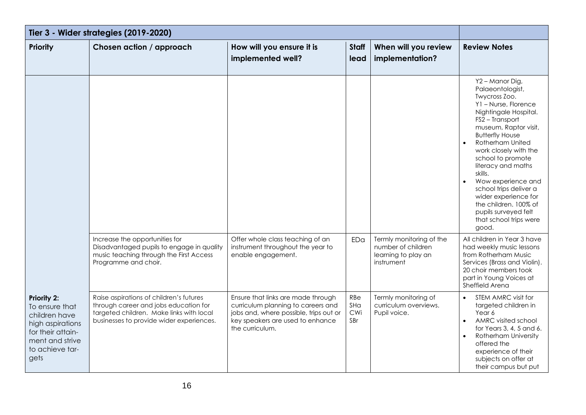| Tier 3 - Wider strategies (2019-2020)                                                                                                 |                                                                                                                                                                          |                                                                                                                                                                           |                          |                                                                                     |                                                                                                                                                                                                                                                                                                                                                                                                                                                         |
|---------------------------------------------------------------------------------------------------------------------------------------|--------------------------------------------------------------------------------------------------------------------------------------------------------------------------|---------------------------------------------------------------------------------------------------------------------------------------------------------------------------|--------------------------|-------------------------------------------------------------------------------------|---------------------------------------------------------------------------------------------------------------------------------------------------------------------------------------------------------------------------------------------------------------------------------------------------------------------------------------------------------------------------------------------------------------------------------------------------------|
| Priority                                                                                                                              | Chosen action / approach                                                                                                                                                 | How will you ensure it is<br>implemented well?                                                                                                                            | <b>Staff</b><br>lead     | When will you review<br>implementation?                                             | <b>Review Notes</b>                                                                                                                                                                                                                                                                                                                                                                                                                                     |
|                                                                                                                                       |                                                                                                                                                                          |                                                                                                                                                                           |                          |                                                                                     | Y2 - Manor Dig,<br>Palaeontologist,<br>Twycross Zoo.<br>Y1 - Nurse, Florence<br>Nightingale Hospital.<br>FS2 - Transport<br>museum, Raptor visit,<br><b>Butterfly House</b><br>Rotherham United<br>work closely with the<br>school to promote<br>literacy and maths<br>skills.<br>Wow experience and<br>$\bullet$<br>school trips deliver a<br>wider experience for<br>the children. 100% of<br>pupils surveyed felt<br>that school trips were<br>good. |
|                                                                                                                                       | Increase the opportunities for<br>Disadvantaged pupils to engage in quality<br>music teaching through the First Access<br>Programme and choir.                           | Offer whole class teaching of an<br>instrument throughout the year to<br>enable engagement.                                                                               | EDa                      | Termly monitoring of the<br>number of children<br>learning to play an<br>instrument | All children in Year 3 have<br>had weekly music lessons<br>from Rotherham Music<br>Services (Brass and Violin).<br>20 choir members took<br>part in Young Voices at<br>Sheffield Arena                                                                                                                                                                                                                                                                  |
| Priority 2:<br>To ensure that<br>children have<br>high aspirations<br>for their attain-<br>ment and strive<br>to achieve tar-<br>gets | Raise aspirations of children's futures<br>through career and jobs education for<br>targeted children. Make links with local<br>businesses to provide wider experiences. | Ensure that links are made through<br>curriculum planning to careers and<br>jobs and, where possible, trips out or<br>key speakers are used to enhance<br>the curriculum. | RBe<br>SHa<br>CWi<br>SBr | Termly monitoring of<br>curriculum overviews.<br>Pupil voice.                       | STEM AMRC visit for<br>$\bullet$<br>targeted children in<br>Year 6<br>AMRC visited school<br>$\bullet$<br>for Years 3, 4, 5 and 6.<br><b>Rotherham University</b><br>$\bullet$<br>offered the<br>experience of their<br>subjects on offer at<br>their campus but put                                                                                                                                                                                    |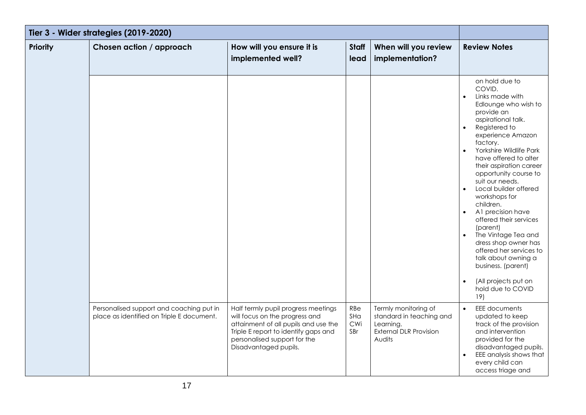| Tier 3 - Wider strategies (2019-2020) |                                                                                       |                                                                                                                                                                                                                |                          |                                                                                                          |                                                                                                                                                                                                                                                                                                                                                                                                                                                                                                                                                                                                                                                                              |
|---------------------------------------|---------------------------------------------------------------------------------------|----------------------------------------------------------------------------------------------------------------------------------------------------------------------------------------------------------------|--------------------------|----------------------------------------------------------------------------------------------------------|------------------------------------------------------------------------------------------------------------------------------------------------------------------------------------------------------------------------------------------------------------------------------------------------------------------------------------------------------------------------------------------------------------------------------------------------------------------------------------------------------------------------------------------------------------------------------------------------------------------------------------------------------------------------------|
| <b>Priority</b>                       | Chosen action / approach                                                              | How will you ensure it is<br>implemented well?                                                                                                                                                                 | <b>Staff</b><br>lead     | When will you review<br>implementation?                                                                  | <b>Review Notes</b>                                                                                                                                                                                                                                                                                                                                                                                                                                                                                                                                                                                                                                                          |
|                                       |                                                                                       |                                                                                                                                                                                                                |                          |                                                                                                          | on hold due to<br>COVID.<br>Links made with<br>$\bullet$<br>Edlounge who wish to<br>provide an<br>aspirational talk.<br>Registered to<br>$\bullet$<br>experience Amazon<br>factory.<br>Yorkshire Wildlife Park<br>$\bullet$<br>have offered to alter<br>their aspiration career<br>opportunity course to<br>suit our needs.<br>Local builder offered<br>$\bullet$<br>workshops for<br>children.<br>A1 precision have<br>$\bullet$<br>offered their services<br>(parent)<br>The Vintage Tea and<br>$\bullet$<br>dress shop owner has<br>offered her services to<br>talk about owning a<br>business. (parent)<br>(All projects put on<br>$\bullet$<br>hold due to COVID<br>19) |
|                                       | Personalised support and coaching put in<br>place as identified on Triple E document. | Half termly pupil progress meetings<br>will focus on the progress and<br>attainment of all pupils and use the<br>Triple E report to identify gaps and<br>personalised support for the<br>Disadvantaged pupils. | RBe<br>SHa<br>CWi<br>SBr | Termly monitoring of<br>standard in teaching and<br>Learning.<br><b>External DLR Provision</b><br>Audits | <b>EEE</b> documents<br>$\bullet$<br>updated to keep<br>track of the provision<br>and intervention<br>provided for the<br>disadvantaged pupils.<br>EEE analysis shows that<br>$\bullet$<br>every child can<br>access triage and                                                                                                                                                                                                                                                                                                                                                                                                                                              |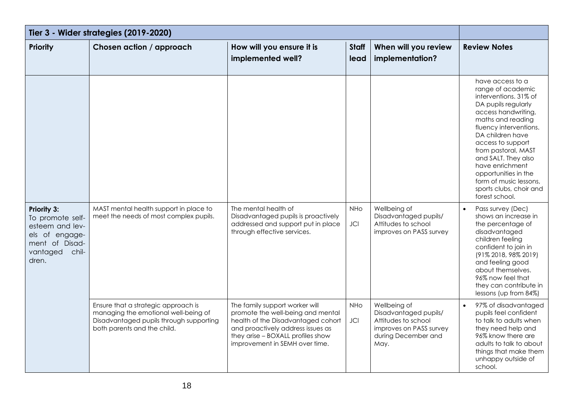| Tier 3 - Wider strategies (2019-2020)                                                                                       |                                                                                                                                                       |                                                                                                                                                                                                                       |                                                |                                                                                                                        |                                                                                                                                                                                                                                                                                                                                                                      |
|-----------------------------------------------------------------------------------------------------------------------------|-------------------------------------------------------------------------------------------------------------------------------------------------------|-----------------------------------------------------------------------------------------------------------------------------------------------------------------------------------------------------------------------|------------------------------------------------|------------------------------------------------------------------------------------------------------------------------|----------------------------------------------------------------------------------------------------------------------------------------------------------------------------------------------------------------------------------------------------------------------------------------------------------------------------------------------------------------------|
| <b>Priority</b>                                                                                                             | Chosen action / approach                                                                                                                              | How will you ensure it is<br>implemented well?                                                                                                                                                                        | <b>Staff</b><br>lead                           | When will you review<br>implementation?                                                                                | <b>Review Notes</b>                                                                                                                                                                                                                                                                                                                                                  |
|                                                                                                                             |                                                                                                                                                       |                                                                                                                                                                                                                       |                                                |                                                                                                                        | have access to a<br>range of academic<br>interventions. 31% of<br>DA pupils regularly<br>access handwriting,<br>maths and reading<br>fluency interventions.<br>DA children have<br>access to support<br>from pastoral, MAST<br>and SALT. They also<br>have enrichment<br>opportunities in the<br>form of music lessons,<br>sports clubs, choir and<br>forest school. |
| <b>Priority 3:</b><br>To promote self-<br>esteem and lev-<br>els of engage-<br>ment of Disad-<br>vantaged<br>chil-<br>dren. | MAST mental health support in place to<br>meet the needs of most complex pupils.                                                                      | The mental health of<br>Disadvantaged pupils is proactively<br>addressed and support put in place<br>through effective services.                                                                                      | <b>NHo</b><br>$\mathsf{J}\mathsf{C}\mathsf{I}$ | Wellbeing of<br>Disadvantaged pupils/<br>Attitudes to school<br>improves on PASS survey                                | Pass survey (Dec)<br>$\bullet$<br>shows an increase in<br>the percentage of<br>disadvantaged<br>children feeling<br>confident to join in<br>(91% 2018, 98% 2019)<br>and feeling good<br>about themselves.<br>96% now feel that<br>they can contribute in<br>lessons (up from 84%)                                                                                    |
|                                                                                                                             | Ensure that a strategic approach is<br>managing the emotional well-being of<br>Disadvantaged pupils through supporting<br>both parents and the child. | The family support worker will<br>promote the well-being and mental<br>health of the Disadvantaged cohort<br>and proactively address issues as<br>they arise - BOXALL profiles show<br>improvement in SEMH over time. | <b>NHO</b><br><b>JCI</b>                       | Wellbeing of<br>Disadvantaged pupils/<br>Attitudes to school<br>improves on PASS survey<br>during December and<br>May. | 97% of disadvantaged<br>pupils feel confident<br>to talk to adults when<br>they need help and<br>96% know there are<br>adults to talk to about<br>things that make them<br>unhappy outside of<br>school.                                                                                                                                                             |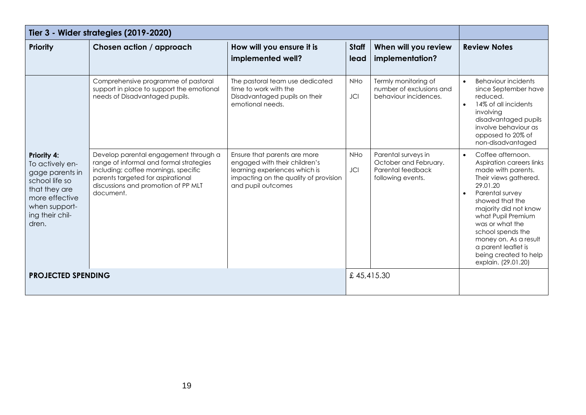| Tier 3 - Wider strategies (2019-2020)                                                                                                                      |                                                                                                                                                                                                                   |                                                                                                                                                               |                          |                                                                                        |                                                                                                                                                                                                                                                                                                                                                    |
|------------------------------------------------------------------------------------------------------------------------------------------------------------|-------------------------------------------------------------------------------------------------------------------------------------------------------------------------------------------------------------------|---------------------------------------------------------------------------------------------------------------------------------------------------------------|--------------------------|----------------------------------------------------------------------------------------|----------------------------------------------------------------------------------------------------------------------------------------------------------------------------------------------------------------------------------------------------------------------------------------------------------------------------------------------------|
| <b>Priority</b>                                                                                                                                            | Chosen action / approach                                                                                                                                                                                          | How will you ensure it is<br>implemented well?                                                                                                                | <b>Staff</b><br>lead     | When will you review<br>implementation?                                                | <b>Review Notes</b>                                                                                                                                                                                                                                                                                                                                |
|                                                                                                                                                            | Comprehensive programme of pastoral<br>support in place to support the emotional<br>needs of Disadvantaged pupils.                                                                                                | The pastoral team use dedicated<br>time to work with the<br>Disadvantaged pupils on their<br>emotional needs.                                                 | <b>NHo</b><br><b>JCI</b> | Termly monitoring of<br>number of exclusions and<br>behaviour incidences.              | <b>Behaviour incidents</b><br>$\bullet$<br>since September have<br>reduced.<br>14% of all incidents<br>$\bullet$<br>involving<br>disadvantaged pupils<br>involve behaviour as<br>opposed to 20% of<br>non-disadvantaged                                                                                                                            |
| <b>Priority 4:</b><br>To actively en-<br>gage parents in<br>school life so<br>that they are<br>more effective<br>when support-<br>ing their chil-<br>dren. | Develop parental engagement through a<br>range of informal and formal strategies<br>including; coffee mornings, specific<br>parents targeted for aspirational<br>discussions and promotion of PP MLT<br>document. | Ensure that parents are more<br>engaged with their children's<br>learning experiences which is<br>impacting on the quality of provision<br>and pupil outcomes | <b>NHO</b><br><b>JCI</b> | Parental surveys in<br>October and February.<br>Parental feedback<br>following events. | Coffee afternoon.<br>$\bullet$<br>Aspiration careers links<br>made with parents.<br>Their views gathered.<br>29.01.20<br>Parental survey<br>showed that the<br>majority did not know<br>what Pupil Premium<br>was or what the<br>school spends the<br>money on. As a result<br>a parent leaflet is<br>being created to help<br>explain. (29.01.20) |
| <b>PROJECTED SPENDING</b>                                                                                                                                  |                                                                                                                                                                                                                   |                                                                                                                                                               |                          | £45,415.30                                                                             |                                                                                                                                                                                                                                                                                                                                                    |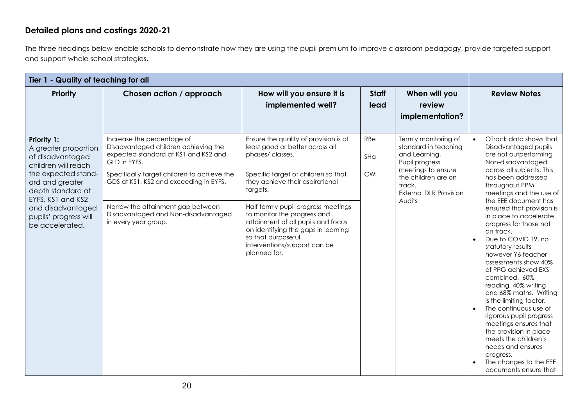#### **Detailed plans and costings 2020-21**

The three headings below enable schools to demonstrate how they are using the pupil premium to improve classroom pedagogy, provide targeted support and support whole school strategies.

| Tier 1 - Quality of teaching for all                                                                                                                 |                                                                                                                            |                                                                                                                                                                                                                       |                                                                                                                                                                                              |                                                                                                                      |                                                                                                                                                                                                                                                                                                                                                                                                                                                                                                                                                         |
|------------------------------------------------------------------------------------------------------------------------------------------------------|----------------------------------------------------------------------------------------------------------------------------|-----------------------------------------------------------------------------------------------------------------------------------------------------------------------------------------------------------------------|----------------------------------------------------------------------------------------------------------------------------------------------------------------------------------------------|----------------------------------------------------------------------------------------------------------------------|---------------------------------------------------------------------------------------------------------------------------------------------------------------------------------------------------------------------------------------------------------------------------------------------------------------------------------------------------------------------------------------------------------------------------------------------------------------------------------------------------------------------------------------------------------|
| <b>Priority</b>                                                                                                                                      | Chosen action / approach                                                                                                   | How will you ensure it is<br>implemented well?                                                                                                                                                                        | <b>Staff</b><br>lead                                                                                                                                                                         | When will you<br>review<br>implementation?                                                                           | <b>Review Notes</b>                                                                                                                                                                                                                                                                                                                                                                                                                                                                                                                                     |
| <b>Priority 1:</b><br>A greater proportion<br>of disadvantaged<br>children will reach<br>the expected stand-<br>ard and greater<br>depth standard at | Increase the percentage of<br>Disadvantaged children achieving the<br>expected standard at KS1 and KS2 and<br>GLD in EYFS. | Ensure the quality of provision is at<br>least good or better across all<br>phases/classes.                                                                                                                           | RBe<br>Termly monitoring of<br>standard in teaching<br>and Learning.<br>SHa<br>Pupil progress<br>meetings to ensure<br>CWi<br>the children are on<br>track.<br><b>External DLR Provision</b> |                                                                                                                      | OTrack data shows that<br>$\bullet$<br>Disadvantaged pupils<br>are not outperforming<br>Non-disadvantaged                                                                                                                                                                                                                                                                                                                                                                                                                                               |
|                                                                                                                                                      | Specifically target children to achieve the<br>GDS at KS1, KS2 and exceeding in EYFS.                                      | Specific target of children so that<br>they achieve their aspirational<br>targets.                                                                                                                                    |                                                                                                                                                                                              | across all subjects. This<br>has been addressed<br>throughout PPM<br>meetings and the use of<br>the EEE document has |                                                                                                                                                                                                                                                                                                                                                                                                                                                                                                                                                         |
| EYFS, KS1 and KS2<br>and disadvantaged<br>pupils' progress will<br>be accelerated.                                                                   | Narrow the attainment gap between<br>Disadvantaged and Non-disadvantaged<br>in every year group.                           | Half termly pupil progress meetings<br>to monitor the progress and<br>attainment of all pupils and focus<br>on identifying the gaps in learning<br>so that purposeful<br>interventions/support can be<br>planned for. |                                                                                                                                                                                              | Audits                                                                                                               | ensured that provision is<br>in place to accelerate<br>progress for those not<br>on track.<br>Due to COVID 19, no<br>$\bullet$<br>statutory results<br>however Y6 teacher<br>assessments show 40%<br>of PPG achieved EXS<br>combined. 60%<br>reading, 40% writing<br>and 68% maths. Writing<br>is the limiting factor.<br>The continuous use of<br>$\bullet$<br>rigorous pupil progress<br>meetings ensures that<br>the provision in place<br>meets the children's<br>needs and ensures<br>progress.<br>The changes to the EEE<br>documents ensure that |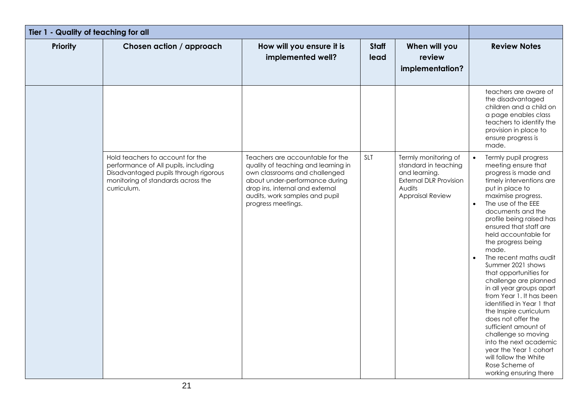| Tier 1 - Quality of teaching for all |                                                                                                                                                                        |                                                                                                                                                                                                                                       |                      |                                                                                                                                     |                                                                                                                                                                                                                                                                                                                                                                                                                                                                                                                                                                                                                                                                                                                                            |
|--------------------------------------|------------------------------------------------------------------------------------------------------------------------------------------------------------------------|---------------------------------------------------------------------------------------------------------------------------------------------------------------------------------------------------------------------------------------|----------------------|-------------------------------------------------------------------------------------------------------------------------------------|--------------------------------------------------------------------------------------------------------------------------------------------------------------------------------------------------------------------------------------------------------------------------------------------------------------------------------------------------------------------------------------------------------------------------------------------------------------------------------------------------------------------------------------------------------------------------------------------------------------------------------------------------------------------------------------------------------------------------------------------|
| Priority                             | Chosen action / approach                                                                                                                                               | How will you ensure it is<br>implemented well?                                                                                                                                                                                        | <b>Staff</b><br>lead | When will you<br>review<br>implementation?                                                                                          | <b>Review Notes</b>                                                                                                                                                                                                                                                                                                                                                                                                                                                                                                                                                                                                                                                                                                                        |
|                                      |                                                                                                                                                                        |                                                                                                                                                                                                                                       |                      |                                                                                                                                     | teachers are aware of<br>the disadvantaged<br>children and a child on<br>a page enables class<br>teachers to identify the<br>provision in place to<br>ensure progress is<br>made.                                                                                                                                                                                                                                                                                                                                                                                                                                                                                                                                                          |
|                                      | Hold teachers to account for the<br>performance of All pupils, including<br>Disadvantaged pupils through rigorous<br>monitoring of standards across the<br>curriculum. | Teachers are accountable for the<br>quality of teaching and learning in<br>own classrooms and challenged<br>about under-performance during<br>drop ins, internal and external<br>audits, work samples and pupil<br>progress meetings. | SLT                  | Termly monitoring of<br>standard in teaching<br>and learning.<br><b>External DLR Provision</b><br>Audits<br><b>Appraisal Review</b> | Termly pupil progress<br>meeting ensure that<br>progress is made and<br>timely interventions are<br>put in place to<br>maximise progress.<br>The use of the EEE<br>$\bullet$<br>documents and the<br>profile being raised has<br>ensured that staff are<br>held accountable for<br>the progress being<br>made.<br>The recent maths audit<br>$\bullet$<br>Summer 2021 shows<br>that opportunities for<br>challenge are planned<br>in all year groups apart<br>from Year 1. It has been<br>identified in Year 1 that<br>the Inspire curriculum<br>does not offer the<br>sufficient amount of<br>challenge so moving<br>into the next academic<br>year the Year 1 cohort<br>will follow the White<br>Rose Scheme of<br>working ensuring there |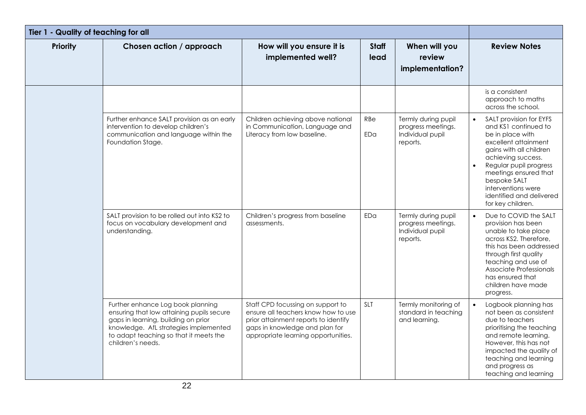| Tier 1 - Quality of teaching for all |                                                                                                                                                                                                                               |                                                                                                                                                                                           |                      |                                                                           |                                                                                                                                                                                                                                                                                                                  |
|--------------------------------------|-------------------------------------------------------------------------------------------------------------------------------------------------------------------------------------------------------------------------------|-------------------------------------------------------------------------------------------------------------------------------------------------------------------------------------------|----------------------|---------------------------------------------------------------------------|------------------------------------------------------------------------------------------------------------------------------------------------------------------------------------------------------------------------------------------------------------------------------------------------------------------|
| <b>Priority</b>                      | Chosen action / approach                                                                                                                                                                                                      | How will you ensure it is<br>implemented well?                                                                                                                                            | <b>Staff</b><br>lead | When will you<br>review<br>implementation?                                | <b>Review Notes</b>                                                                                                                                                                                                                                                                                              |
|                                      |                                                                                                                                                                                                                               |                                                                                                                                                                                           |                      |                                                                           | is a consistent<br>approach to maths<br>across the school.                                                                                                                                                                                                                                                       |
|                                      | Further enhance SALT provision as an early<br>intervention to develop children's<br>communication and language within the<br>Foundation Stage.                                                                                | Children achieving above national<br>in Communication, Language and<br>Literacy from low baseline.                                                                                        | RBe<br>EDa           | Termly during pupil<br>progress meetings.<br>Individual pupil<br>reports. | SALT provision for EYFS<br>$\bullet$<br>and KS1 continued to<br>be in place with<br>excellent attainment<br>gains with all children<br>achieving success.<br>Regular pupil progress<br>$\bullet$<br>meetings ensured that<br>bespoke SALT<br>interventions were<br>identified and delivered<br>for key children. |
|                                      | SALT provision to be rolled out into KS2 to<br>focus on vocabulary development and<br>understanding.                                                                                                                          | Children's progress from baseline<br>assessments.                                                                                                                                         | EDa                  | Termly during pupil<br>progress meetings.<br>Individual pupil<br>reports. | Due to COVID the SALT<br>$\bullet$<br>provision has been<br>unable to take place<br>across KS2. Therefore,<br>this has been addressed<br>through first quality<br>teaching and use of<br>Associate Professionals<br>has ensured that<br>children have made<br>progress.                                          |
|                                      | Further enhance Log book planning<br>ensuring that low attaining pupils secure<br>gaps in learning, building on prior<br>knowledge. AfL strategies implemented<br>to adapt teaching so that it meets the<br>children's needs. | Staff CPD focussing on support to<br>ensure all teachers know how to use<br>prior attainment reports to identify<br>gaps in knowledge and plan for<br>appropriate learning opportunities. | SLT                  | Termly monitoring of<br>standard in teaching<br>and learning.             | Logbook planning has<br>not been as consistent<br>due to teachers<br>prioritising the teaching<br>and remote learning.<br>However, this has not<br>impacted the quality of<br>teaching and learning<br>and progress as<br>teaching and learning                                                                  |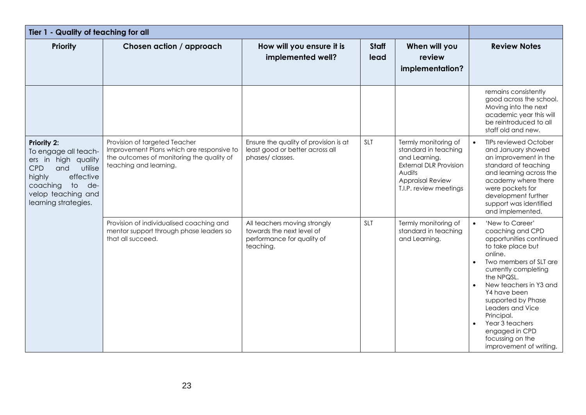| Tier 1 - Quality of teaching for all                                                                                                                                                                                  |                                                                                                                                                   |                                                                                                      |                      |                                                                                                                                                               |                                                                                                                                                                                                                                                                                                                                                                                             |
|-----------------------------------------------------------------------------------------------------------------------------------------------------------------------------------------------------------------------|---------------------------------------------------------------------------------------------------------------------------------------------------|------------------------------------------------------------------------------------------------------|----------------------|---------------------------------------------------------------------------------------------------------------------------------------------------------------|---------------------------------------------------------------------------------------------------------------------------------------------------------------------------------------------------------------------------------------------------------------------------------------------------------------------------------------------------------------------------------------------|
| <b>Priority</b>                                                                                                                                                                                                       | Chosen action / approach                                                                                                                          | How will you ensure it is<br>implemented well?                                                       | <b>Staff</b><br>lead | When will you<br>review<br>implementation?                                                                                                                    | <b>Review Notes</b>                                                                                                                                                                                                                                                                                                                                                                         |
|                                                                                                                                                                                                                       |                                                                                                                                                   |                                                                                                      |                      |                                                                                                                                                               | remains consistently<br>good across the school.<br>Moving into the next<br>academic year this will<br>be reintroduced to all<br>staff old and new.                                                                                                                                                                                                                                          |
| <b>Priority 2:</b><br>To engage all teach-<br>ers in high quality<br><b>CPD</b><br>and<br>utilise<br>effective<br>highly<br>coaching<br>$\overline{\phantom{a}}$<br>de-<br>velop teaching and<br>learning strategies. | Provision of targeted Teacher<br>Improvement Plans which are responsive to<br>the outcomes of monitoring the quality of<br>teaching and learning. | Ensure the quality of provision is at<br>least good or better across all<br>phases/classes.          | <b>SLT</b>           | Termly monitoring of<br>standard in teaching<br>and Learning.<br><b>External DLR Provision</b><br>Audits<br><b>Appraisal Review</b><br>T.I.P. review meetings | <b>TIPs reviewed October</b><br>$\bullet$<br>and January showed<br>an improvement in the<br>standard of teaching<br>and learning across the<br>academy where there<br>were pockets for<br>development further<br>support was identified<br>and implemented.                                                                                                                                 |
|                                                                                                                                                                                                                       | Provision of individualised coaching and<br>mentor support through phase leaders so<br>that all succeed.                                          | All teachers moving strongly<br>towards the next level of<br>performance for quality of<br>teaching. | <b>SLT</b>           | Termly monitoring of<br>standard in teaching<br>and Learning.                                                                                                 | 'New to Career'<br>$\bullet$<br>coaching and CPD<br>opportunities continued<br>to take place but<br>online.<br>Two members of SLT are<br>currently completing<br>the NPQSL.<br>New teachers in Y3 and<br>$\bullet$<br>Y4 have been<br>supported by Phase<br>Leaders and Vice<br>Principal.<br>Year 3 teachers<br>$\bullet$<br>engaged in CPD<br>focussing on the<br>improvement of writing. |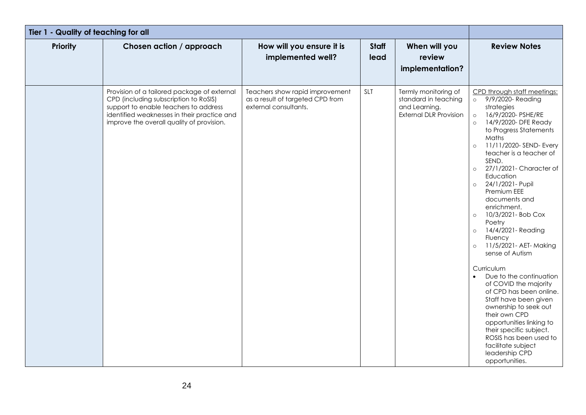| Tier 1 - Quality of teaching for all |                                                                                                                                                                                                                           |                                                                                              |                      |                                                                                                |                                                                                                                                                                                                                                                                                                                                                                                                                                                                                                                                                                                                                                                                                                                                                                                                                                                             |
|--------------------------------------|---------------------------------------------------------------------------------------------------------------------------------------------------------------------------------------------------------------------------|----------------------------------------------------------------------------------------------|----------------------|------------------------------------------------------------------------------------------------|-------------------------------------------------------------------------------------------------------------------------------------------------------------------------------------------------------------------------------------------------------------------------------------------------------------------------------------------------------------------------------------------------------------------------------------------------------------------------------------------------------------------------------------------------------------------------------------------------------------------------------------------------------------------------------------------------------------------------------------------------------------------------------------------------------------------------------------------------------------|
| <b>Priority</b>                      | Chosen action / approach                                                                                                                                                                                                  | How will you ensure it is<br>implemented well?                                               | <b>Staff</b><br>lead | When will you<br>review<br>implementation?                                                     | <b>Review Notes</b>                                                                                                                                                                                                                                                                                                                                                                                                                                                                                                                                                                                                                                                                                                                                                                                                                                         |
|                                      | Provision of a tailored package of external<br>CPD (including subscription to RoSIS)<br>support to enable teachers to address<br>identified weaknesses in their practice and<br>improve the overall quality of provision. | Teachers show rapid improvement<br>as a result of targeted CPD from<br>external consultants. | SLT                  | Termly monitoring of<br>standard in teaching<br>and Learning.<br><b>External DLR Provision</b> | CPD through staff meetings:<br>o 9/9/2020- Reading<br>strategies<br>16/9/2020- PSHE/RE<br>$\circ$<br>14/9/2020- DFE Ready<br>$\circ$<br>to Progress Statements<br>Maths<br>11/11/2020-SEND-Every<br>$\circ$<br>teacher is a teacher of<br>SEND.<br>27/1/2021- Character of<br>$\circ$<br>Education<br>24/1/2021 - Pupil<br>$\circ$<br>Premium EEE<br>documents and<br>enrichment.<br>10/3/2021- Bob Cox<br>$\circ$<br>Poetry<br>14/4/2021 - Reading<br>$\circ$<br>Fluency<br>11/5/2021 - AET - Making<br>$\circ$<br>sense of Autism<br>Curriculum<br>Due to the continuation<br>$\bullet$<br>of COVID the majority<br>of CPD has been online.<br>Staff have been given<br>ownership to seek out<br>their own CPD<br>opportunities linking to<br>their specific subject.<br>ROSIS has been used to<br>facilitate subject<br>leadership CPD<br>opportunities. |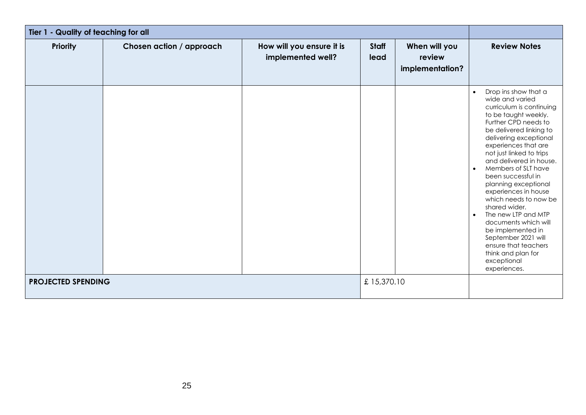| Tier 1 - Quality of teaching for all |                          |                                                |               |                                            |                                                                                                                                                                                                                                                                                                                                                                                                                                                                                                                                                                                                               |
|--------------------------------------|--------------------------|------------------------------------------------|---------------|--------------------------------------------|---------------------------------------------------------------------------------------------------------------------------------------------------------------------------------------------------------------------------------------------------------------------------------------------------------------------------------------------------------------------------------------------------------------------------------------------------------------------------------------------------------------------------------------------------------------------------------------------------------------|
| <b>Priority</b>                      | Chosen action / approach | How will you ensure it is<br>implemented well? | Staff<br>lead | When will you<br>review<br>implementation? | <b>Review Notes</b>                                                                                                                                                                                                                                                                                                                                                                                                                                                                                                                                                                                           |
|                                      |                          |                                                |               |                                            | Drop ins show that a<br>$\bullet$<br>wide and varied<br>curriculum is continuing<br>to be taught weekly.<br>Further CPD needs to<br>be delivered linking to<br>delivering exceptional<br>experiences that are<br>not just linked to trips<br>and delivered in house.<br>Members of SLT have<br>$\bullet$<br>been successful in<br>planning exceptional<br>experiences in house<br>which needs to now be<br>shared wider.<br>The new LTP and MTP<br>$\bullet$<br>documents which will<br>be implemented in<br>September 2021 will<br>ensure that teachers<br>think and plan for<br>exceptional<br>experiences. |
| <b>PROJECTED SPENDING</b>            |                          |                                                | £15,370.10    |                                            |                                                                                                                                                                                                                                                                                                                                                                                                                                                                                                                                                                                                               |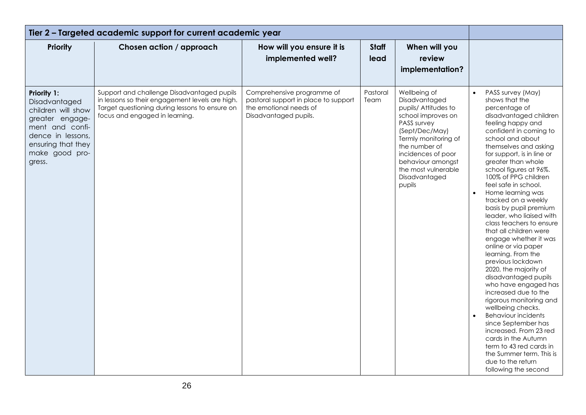| Tier 2 - Targeted academic support for current academic year                                                                                                    |                                                                                                                                                                                   |                                                                                                                       |                      |                                                                                                                                                                                                                                                    |                                                                                                                                                                                                                                                                                                                                                                                                                                                                                                                                                                                                                                                                                                                                                                                                                                                                                                                                                               |
|-----------------------------------------------------------------------------------------------------------------------------------------------------------------|-----------------------------------------------------------------------------------------------------------------------------------------------------------------------------------|-----------------------------------------------------------------------------------------------------------------------|----------------------|----------------------------------------------------------------------------------------------------------------------------------------------------------------------------------------------------------------------------------------------------|---------------------------------------------------------------------------------------------------------------------------------------------------------------------------------------------------------------------------------------------------------------------------------------------------------------------------------------------------------------------------------------------------------------------------------------------------------------------------------------------------------------------------------------------------------------------------------------------------------------------------------------------------------------------------------------------------------------------------------------------------------------------------------------------------------------------------------------------------------------------------------------------------------------------------------------------------------------|
| <b>Priority</b>                                                                                                                                                 | Chosen action / approach                                                                                                                                                          | How will you ensure it is<br>implemented well?                                                                        | <b>Staff</b><br>lead | When will you<br>review<br>implementation?                                                                                                                                                                                                         |                                                                                                                                                                                                                                                                                                                                                                                                                                                                                                                                                                                                                                                                                                                                                                                                                                                                                                                                                               |
| Priority 1:<br>Disadvantaged<br>children will show<br>greater engage-<br>ment and confi-<br>dence in lessons,<br>ensuring that they<br>make good pro-<br>gress. | Support and challenge Disadvantaged pupils<br>in lessons so their engagement levels are high.<br>Target questioning during lessons to ensure on<br>focus and engaged in learning. | Comprehensive programme of<br>pastoral support in place to support<br>the emotional needs of<br>Disadvantaged pupils. | Pastoral<br>Team     | Wellbeing of<br>Disadvantaged<br>pupils/ Attitudes to<br>school improves on<br>PASS survey<br>(Sept/Dec/May)<br>Termly monitoring of<br>the number of<br>incidences of poor<br>behaviour amongst<br>the most vulnerable<br>Disadvantaged<br>pupils | PASS survey (May)<br>$\bullet$<br>shows that the<br>percentage of<br>disadvantaged children<br>feeling happy and<br>confident in coming to<br>school and about<br>themselves and asking<br>for support, is in line or<br>greater than whole<br>school figures at 96%.<br>100% of PPG children<br>feel safe in school.<br>$\bullet$<br>Home learning was<br>tracked on a weekly<br>basis by pupil premium<br>leader, who liaised with<br>class teachers to ensure<br>that all children were<br>engage whether it was<br>online or via paper<br>learning. From the<br>previous lockdown<br>2020, the majority of<br>disadvantaged pupils<br>who have engaged has<br>increased due to the<br>rigorous monitoring and<br>wellbeing checks.<br><b>Behaviour incidents</b><br>$\bullet$<br>since September has<br>increased. From 23 red<br>cards in the Autumn<br>term to 43 red cards in<br>the Summer term. This is<br>due to the return<br>following the second |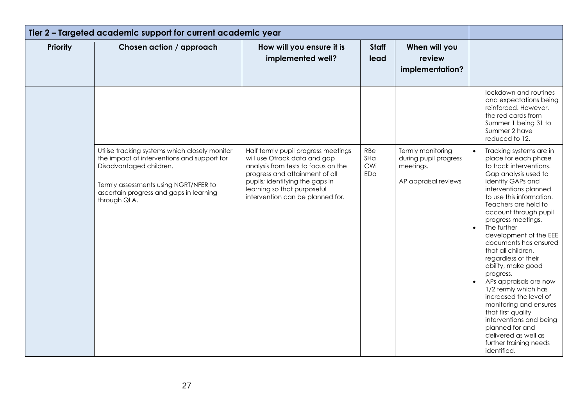| Tier 2 - Targeted academic support for current academic year |                                                                                                                                                                                                                              |                                                                                                                                                                                                                                                    |                          |                                                                                 |                                                                                                                                                                                                                                                                                                                                                                                                                                                                                                                                                                                                                                                                            |
|--------------------------------------------------------------|------------------------------------------------------------------------------------------------------------------------------------------------------------------------------------------------------------------------------|----------------------------------------------------------------------------------------------------------------------------------------------------------------------------------------------------------------------------------------------------|--------------------------|---------------------------------------------------------------------------------|----------------------------------------------------------------------------------------------------------------------------------------------------------------------------------------------------------------------------------------------------------------------------------------------------------------------------------------------------------------------------------------------------------------------------------------------------------------------------------------------------------------------------------------------------------------------------------------------------------------------------------------------------------------------------|
| <b>Priority</b>                                              | Chosen action / approach                                                                                                                                                                                                     | How will you ensure it is<br>implemented well?                                                                                                                                                                                                     | <b>Staff</b><br>lead     | When will you<br>review<br>implementation?                                      |                                                                                                                                                                                                                                                                                                                                                                                                                                                                                                                                                                                                                                                                            |
|                                                              |                                                                                                                                                                                                                              |                                                                                                                                                                                                                                                    |                          |                                                                                 | lockdown and routines<br>and expectations being<br>reinforced. However,<br>the red cards from<br>Summer 1 being 31 to<br>Summer 2 have<br>reduced to 12.                                                                                                                                                                                                                                                                                                                                                                                                                                                                                                                   |
|                                                              | Utilise tracking systems which closely monitor<br>the impact of interventions and support for<br>Disadvantaged children.<br>Termly assessments using NGRT/NFER to<br>ascertain progress and gaps in learning<br>through QLA. | Half termly pupil progress meetings<br>will use Otrack data and gap<br>analysis from tests to focus on the<br>progress and attainment of all<br>pupils; identifying the gaps in<br>learning so that purposeful<br>intervention can be planned for. | RBe<br>SHa<br>CWi<br>EDa | Termly monitoring<br>during pupil progress<br>meetings.<br>AP appraisal reviews | Tracking systems are in<br>place for each phase<br>to track interventions.<br>Gap analysis used to<br>identify GAPs and<br>interventions planned<br>to use this information.<br>Teachers are held to<br>account through pupil<br>progress meetings.<br>The further<br>$\bullet$<br>development of the EEE<br>documents has ensured<br>that all children,<br>regardless of their<br>ability, make good<br>progress.<br>APs appraisals are now<br>$\bullet$<br>1/2 termly which has<br>increased the level of<br>monitoring and ensures<br>that first quality<br>interventions and being<br>planned for and<br>delivered as well as<br>further training needs<br>identified. |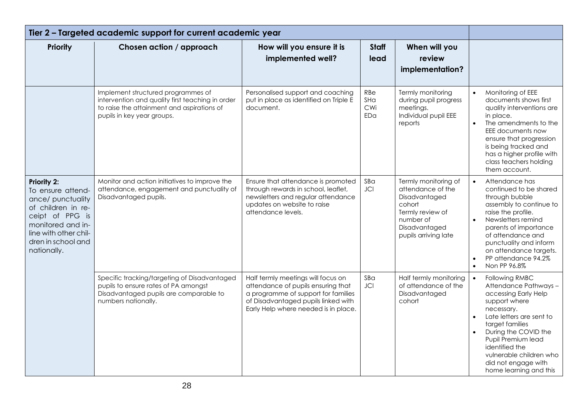| Tier 2 - Targeted academic support for current academic year                                                                                                                      |                                                                                                                                                                    |                                                                                                                                                                                                |                          |                                                                                                                                                |                                                                                                                                                                                                                                                                                                                                |
|-----------------------------------------------------------------------------------------------------------------------------------------------------------------------------------|--------------------------------------------------------------------------------------------------------------------------------------------------------------------|------------------------------------------------------------------------------------------------------------------------------------------------------------------------------------------------|--------------------------|------------------------------------------------------------------------------------------------------------------------------------------------|--------------------------------------------------------------------------------------------------------------------------------------------------------------------------------------------------------------------------------------------------------------------------------------------------------------------------------|
| <b>Priority</b>                                                                                                                                                                   | Chosen action / approach                                                                                                                                           | How will you ensure it is<br>implemented well?                                                                                                                                                 | <b>Staff</b><br>lead     | When will you<br>review<br>implementation?                                                                                                     |                                                                                                                                                                                                                                                                                                                                |
|                                                                                                                                                                                   | Implement structured programmes of<br>intervention and quality first teaching in order<br>to raise the attainment and aspirations of<br>pupils in key year groups. | Personalised support and coaching<br>put in place as identified on Triple E<br>document.                                                                                                       | RBe<br>SHa<br>CWi<br>EDa | Termly monitoring<br>during pupil progress<br>meetings.<br>Individual pupil EEE<br>reports                                                     | Monitoring of EEE<br>$\bullet$<br>documents shows first<br>quality interventions are<br>in place.<br>The amendments to the<br>$\bullet$<br>EEE documents now<br>ensure that progression<br>is being tracked and<br>has a higher profile with<br>class teachers holding<br>them account.                                        |
| Priority 2:<br>To ensure attend-<br>ance/ punctuality<br>of children in re-<br>ceipt of PPG is<br>monitored and in-<br>line with other chil-<br>dren in school and<br>nationally. | Monitor and action initiatives to improve the<br>attendance, engagement and punctuality of<br>Disadvantaged pupils.                                                | Ensure that attendance is promoted<br>through rewards in school, leaflet,<br>newsletters and regular attendance<br>updates on website to raise<br>attendance levels.                           | SBa<br><b>JCI</b>        | Termly monitoring of<br>attendance of the<br>Disadvantaged<br>cohort<br>Termly review of<br>number of<br>Disadvantaged<br>pupils arriving late | Attendance has<br>$\bullet$<br>continued to be shared<br>through bubble<br>assembly to continue to<br>raise the profile.<br>Newsletters remind<br>$\bullet$<br>parents of importance<br>of attendance and<br>punctuality and inform<br>on attendance targets.<br>PP attendance 94.2%<br>$\bullet$<br>Non PP 96.8%<br>$\bullet$ |
|                                                                                                                                                                                   | Specific tracking/targeting of Disadvantaged<br>pupils to ensure rates of PA amongst<br>Disadvantaged pupils are comparable to<br>numbers nationally.              | Half termly meetings will focus on<br>attendance of pupils ensuring that<br>a programme of support for families<br>of Disadvantaged pupils linked with<br>Early Help where needed is in place. | SBa<br><b>JCI</b>        | Half termly monitoring<br>of attendance of the<br>Disadvantaged<br>cohort                                                                      | Following RMBC<br>Attendance Pathways-<br>accessing Early Help<br>support where<br>necessary.<br>Late letters are sent to<br>$\bullet$<br>target families<br>During the COVID the<br>Pupil Premium lead<br>identified the<br>vulnerable children who<br>did not engage with<br>home learning and this                          |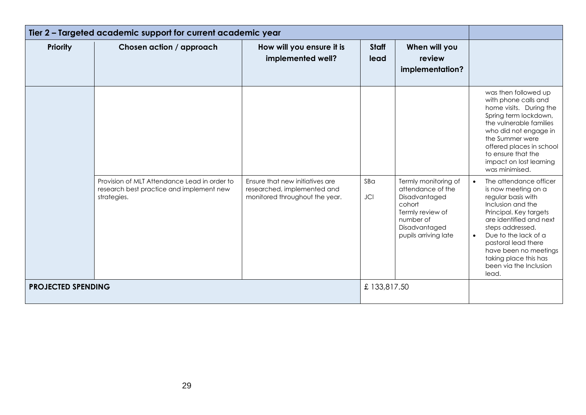| Tier 2 - Targeted academic support for current academic year |                                                                                                         |                                                                                                  |                      |                                                                                                                                                |                                                                                                                                                                                                                                                                                                                                 |
|--------------------------------------------------------------|---------------------------------------------------------------------------------------------------------|--------------------------------------------------------------------------------------------------|----------------------|------------------------------------------------------------------------------------------------------------------------------------------------|---------------------------------------------------------------------------------------------------------------------------------------------------------------------------------------------------------------------------------------------------------------------------------------------------------------------------------|
| <b>Priority</b>                                              | Chosen action / approach                                                                                | How will you ensure it is<br>implemented well?                                                   | <b>Staff</b><br>lead | When will you<br>review<br>implementation?                                                                                                     |                                                                                                                                                                                                                                                                                                                                 |
|                                                              |                                                                                                         |                                                                                                  |                      |                                                                                                                                                | was then followed up<br>with phone calls and<br>home visits. During the<br>Spring term lockdown,<br>the vulnerable families<br>who did not engage in<br>the Summer were<br>offered places in school<br>to ensure that the<br>impact on lost learning<br>was minimised.                                                          |
|                                                              | Provision of MLT Attendance Lead in order to<br>research best practice and implement new<br>strategies. | Ensure that new initiatives are<br>researched, implemented and<br>monitored throughout the year. | SBa<br><b>JCI</b>    | Termly monitoring of<br>attendance of the<br>Disadvantaged<br>cohort<br>Termly review of<br>number of<br>Disadvantaged<br>pupils arriving late | The attendance officer<br>$\bullet$<br>is now meeting on a<br>regular basis with<br>Inclusion and the<br>Principal. Key targets<br>are identified and next<br>steps addressed.<br>Due to the lack of a<br>$\bullet$<br>pastoral lead there<br>have been no meetings<br>taking place this has<br>been via the Inclusion<br>lead. |
| <b>PROJECTED SPENDING</b>                                    |                                                                                                         |                                                                                                  | £133,817.50          |                                                                                                                                                |                                                                                                                                                                                                                                                                                                                                 |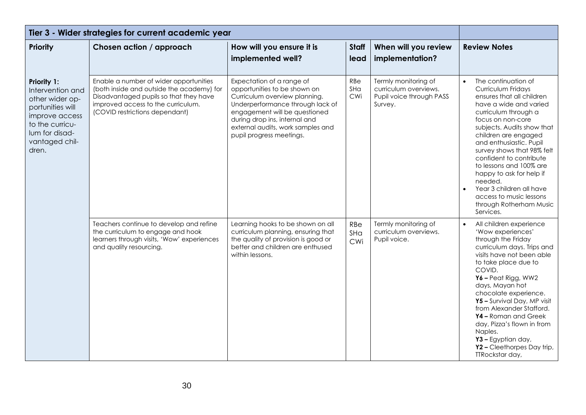| Tier 3 - Wider strategies for current academic year                                                                                                      |                                                                                                                                                                                                       |                                                                                                                                                                                                                                                                   |                      |                                                                                      |                                                                                                                                                                                                                                                                                                                                                                                                                                                          |
|----------------------------------------------------------------------------------------------------------------------------------------------------------|-------------------------------------------------------------------------------------------------------------------------------------------------------------------------------------------------------|-------------------------------------------------------------------------------------------------------------------------------------------------------------------------------------------------------------------------------------------------------------------|----------------------|--------------------------------------------------------------------------------------|----------------------------------------------------------------------------------------------------------------------------------------------------------------------------------------------------------------------------------------------------------------------------------------------------------------------------------------------------------------------------------------------------------------------------------------------------------|
| Priority                                                                                                                                                 | Chosen action / approach                                                                                                                                                                              | How will you ensure it is<br>implemented well?                                                                                                                                                                                                                    | <b>Staff</b><br>lead | When will you review<br>implementation?                                              | <b>Review Notes</b>                                                                                                                                                                                                                                                                                                                                                                                                                                      |
| Priority 1:<br>Intervention and<br>other wider op-<br>portunities will<br>improve access<br>to the curricu-<br>lum for disad-<br>vantaged chil-<br>dren. | Enable a number of wider opportunities<br>(both inside and outside the academy) for<br>Disadvantaged pupils so that they have<br>improved access to the curriculum.<br>(COVID restrictions dependant) | Expectation of a range of<br>opportunities to be shown on<br>Curriculum overview planning.<br>Underperformance through lack of<br>engagement will be questioned<br>during drop ins, internal and<br>external audits, work samples and<br>pupil progress meetings. | RBe<br>SHa<br>CWi    | Termly monitoring of<br>curriculum overviews.<br>Pupil voice through PASS<br>Survey. | The continuation of<br>Curriculum Fridays<br>ensures that all children<br>have a wide and varied<br>curriculum through a<br>focus on non-core<br>subjects. Audits show that<br>children are engaged<br>and enthusiastic. Pupil<br>survey shows that 98% felt<br>confident to contribute<br>to lessons and 100% are<br>happy to ask for help if<br>needed.<br>Year 3 children all have<br>access to music lessons<br>through Rotherham Music<br>Services. |
|                                                                                                                                                          | Teachers continue to develop and refine<br>the curriculum to engage and hook<br>learners through visits, 'Wow' experiences<br>and quality resourcing.                                                 | Learning hooks to be shown on all<br>curriculum planning, ensuring that<br>the quality of provision is good or<br>better and children are enthused<br>within lessons.                                                                                             | RBe<br>SHa<br>CWi    | Termly monitoring of<br>curriculum overviews.<br>Pupil voice.                        | All children experience<br>$\bullet$<br>'Wow experiences'<br>through the Friday<br>curriculum days. Trips and<br>visits have not been able<br>to take place due to<br>COVID.<br>$Y6 -$ Peat Rigg, WW2<br>days, Mayan hot<br>chocolate experience.<br>Y5 - Survival Day, MP visit<br>from Alexander Stafford.<br>Y4 - Roman and Greek<br>day, Pizza's flown in from<br>Naples.<br>Y3 - Egyptian day,<br>Y2 - Cleethorpes Day trip,<br>TTRockstar day,     |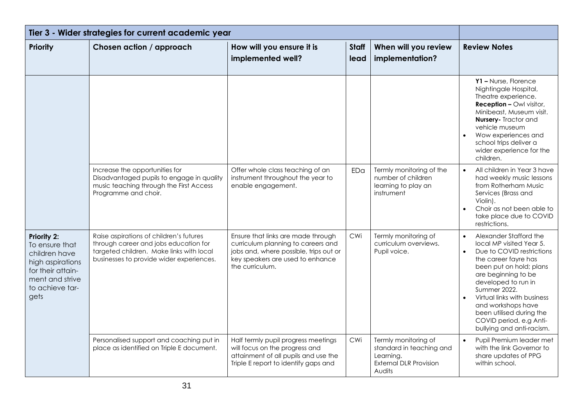| Tier 3 - Wider strategies for current academic year                                                                                          |                                                                                                                                                                          |                                                                                                                                                                           |                      |                                                                                                          |                                                                                                                                                                                                                                                                                                                                                        |
|----------------------------------------------------------------------------------------------------------------------------------------------|--------------------------------------------------------------------------------------------------------------------------------------------------------------------------|---------------------------------------------------------------------------------------------------------------------------------------------------------------------------|----------------------|----------------------------------------------------------------------------------------------------------|--------------------------------------------------------------------------------------------------------------------------------------------------------------------------------------------------------------------------------------------------------------------------------------------------------------------------------------------------------|
| <b>Priority</b>                                                                                                                              | Chosen action / approach                                                                                                                                                 | How will you ensure it is<br>implemented well?                                                                                                                            | <b>Staff</b><br>lead | When will you review<br>implementation?                                                                  | <b>Review Notes</b>                                                                                                                                                                                                                                                                                                                                    |
|                                                                                                                                              |                                                                                                                                                                          |                                                                                                                                                                           |                      |                                                                                                          | Y1-Nurse, Florence<br>Nightingale Hospital,<br>Theatre experience.<br><b>Reception - Owl visitor,</b><br>Minibeast, Museum visit.<br><b>Nursery-</b> Tractor and<br>vehicle museum<br>Wow experiences and<br>school trips deliver a<br>wider experience for the<br>children.                                                                           |
|                                                                                                                                              | Increase the opportunities for<br>Disadvantaged pupils to engage in quality<br>music teaching through the First Access<br>Programme and choir.                           | Offer whole class teaching of an<br>instrument throughout the year to<br>enable engagement.                                                                               | EDa                  | Termly monitoring of the<br>number of children<br>learning to play an<br>instrument                      | All children in Year 3 have<br>$\bullet$<br>had weekly music lessons<br>from Rotherham Music<br>Services (Brass and<br>Violin).<br>Choir as not been able to<br>take place due to COVID<br>restrictions.                                                                                                                                               |
| <b>Priority 2:</b><br>To ensure that<br>children have<br>high aspirations<br>for their attain-<br>ment and strive<br>to achieve tar-<br>gets | Raise aspirations of children's futures<br>through career and jobs education for<br>targeted children. Make links with local<br>businesses to provide wider experiences. | Ensure that links are made through<br>curriculum planning to careers and<br>jobs and, where possible, trips out or<br>key speakers are used to enhance<br>the curriculum. | CWi                  | Termly monitoring of<br>curriculum overviews.<br>Pupil voice.                                            | Alexander Stafford the<br>$\bullet$<br>local MP visited Year 5.<br>Due to COVID restrictions<br>the career fayre has<br>been put on hold; plans<br>are beginning to be<br>developed to run in<br>Summer 2022.<br>Virtual links with business<br>and workshops have<br>been utilised during the<br>COVID period, e.g Anti-<br>bullying and anti-racism. |
|                                                                                                                                              | Personalised support and coaching put in<br>place as identified on Triple E document.                                                                                    | Half termly pupil progress meetings<br>will focus on the progress and<br>attainment of all pupils and use the<br>Triple E report to identify gaps and                     | CWi                  | Termly monitoring of<br>standard in teaching and<br>Learning.<br><b>External DLR Provision</b><br>Audits | Pupil Premium leader met<br>with the link Governor to<br>share updates of PPG<br>within school.                                                                                                                                                                                                                                                        |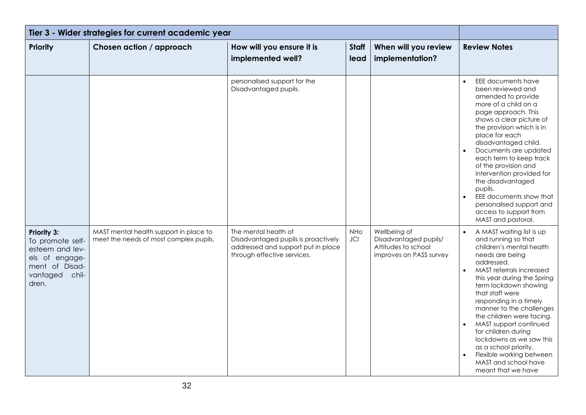| Tier 3 - Wider strategies for current academic year                                                                         |                                                                                  |                                                                                                                                  |                      |                                                                                         |                                                                                                                                                                                                                                                                                                                                                                                                                                                                                                                   |
|-----------------------------------------------------------------------------------------------------------------------------|----------------------------------------------------------------------------------|----------------------------------------------------------------------------------------------------------------------------------|----------------------|-----------------------------------------------------------------------------------------|-------------------------------------------------------------------------------------------------------------------------------------------------------------------------------------------------------------------------------------------------------------------------------------------------------------------------------------------------------------------------------------------------------------------------------------------------------------------------------------------------------------------|
| <b>Priority</b>                                                                                                             | Chosen action / approach                                                         | How will you ensure it is<br>implemented well?                                                                                   | <b>Staff</b><br>lead | When will you review<br>implementation?                                                 | <b>Review Notes</b>                                                                                                                                                                                                                                                                                                                                                                                                                                                                                               |
|                                                                                                                             |                                                                                  | personalised support for the<br>Disadvantaged pupils.                                                                            |                      |                                                                                         | EEE documents have<br>been reviewed and<br>amended to provide<br>more of a child on a<br>page approach. This<br>shows a clear picture of<br>the provision which is in<br>place for each<br>disadvantaged child.<br>Documents are updated<br>each term to keep track<br>of the provision and<br>intervention provided for<br>the disadvantaged<br>pupils.<br>EEE documents show that<br>personalised support and<br>access to support from<br>MAST and pastoral.                                                   |
| <b>Priority 3:</b><br>To promote self-<br>esteem and lev-<br>els of engage-<br>ment of Disad-<br>vantaged<br>chil-<br>dren. | MAST mental health support in place to<br>meet the needs of most complex pupils. | The mental health of<br>Disadvantaged pupils is proactively<br>addressed and support put in place<br>through effective services. | <b>NHo</b><br>JCI    | Wellbeing of<br>Disadvantaged pupils/<br>Attitudes to school<br>improves on PASS survey | A MAST waiting list is up<br>and running so that<br>children's mental health<br>needs are being<br>addressed.<br>MAST referrals increased<br>$\bullet$<br>this year during the Spring<br>term lockdown showing<br>that staff were<br>responding in a timely<br>manner to the challenges<br>the children were facing.<br>MAST support continued<br>for children during<br>lockdowns as we saw this<br>as a school priority.<br>Flexible working between<br>$\bullet$<br>MAST and school have<br>meant that we have |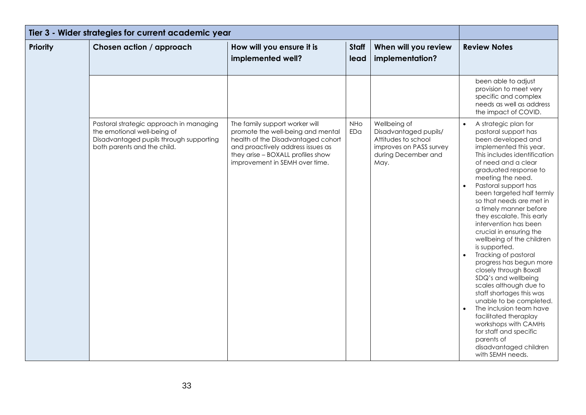| Tier 3 - Wider strategies for current academic year |                                                                                                                                                  |                                                                                                                                                                                                                       |                      |                                                                                                                        |                                                                                                                                                                                                                                                                                                                                                                                                                                                                                                                                                                                                                                                                                                                                                                                                    |
|-----------------------------------------------------|--------------------------------------------------------------------------------------------------------------------------------------------------|-----------------------------------------------------------------------------------------------------------------------------------------------------------------------------------------------------------------------|----------------------|------------------------------------------------------------------------------------------------------------------------|----------------------------------------------------------------------------------------------------------------------------------------------------------------------------------------------------------------------------------------------------------------------------------------------------------------------------------------------------------------------------------------------------------------------------------------------------------------------------------------------------------------------------------------------------------------------------------------------------------------------------------------------------------------------------------------------------------------------------------------------------------------------------------------------------|
| <b>Priority</b>                                     | Chosen action / approach                                                                                                                         | How will you ensure it is<br>implemented well?                                                                                                                                                                        | <b>Staff</b><br>lead | When will you review<br>implementation?                                                                                | <b>Review Notes</b>                                                                                                                                                                                                                                                                                                                                                                                                                                                                                                                                                                                                                                                                                                                                                                                |
|                                                     |                                                                                                                                                  |                                                                                                                                                                                                                       |                      |                                                                                                                        | been able to adjust<br>provision to meet very<br>specific and complex<br>needs as well as address<br>the impact of COVID.                                                                                                                                                                                                                                                                                                                                                                                                                                                                                                                                                                                                                                                                          |
|                                                     | Pastoral strategic approach in managing<br>the emotional well-being of<br>Disadvantaged pupils through supporting<br>both parents and the child. | The family support worker will<br>promote the well-being and mental<br>health of the Disadvantaged cohort<br>and proactively address issues as<br>they arise - BOXALL profiles show<br>improvement in SEMH over time. | <b>NHo</b><br>EDa    | Wellbeing of<br>Disadvantaged pupils/<br>Attitudes to school<br>improves on PASS survey<br>during December and<br>May. | A strategic plan for<br>pastoral support has<br>been developed and<br>implemented this year.<br>This includes identification<br>of need and a clear<br>graduated response to<br>meeting the need.<br>Pastoral support has<br>been targeted half termly<br>so that needs are met in<br>a timely manner before<br>they escalate. This early<br>intervention has been<br>crucial in ensuring the<br>wellbeing of the children<br>is supported.<br>Tracking of pastoral<br>progress has begun more<br>closely through Boxall<br>SDQ's and wellbeing<br>scales although due to<br>staff shortages this was<br>unable to be completed.<br>The inclusion team have<br>facilitated theraplay<br>workshops with CAMHs<br>for staff and specific<br>parents of<br>disadvantaged children<br>with SEMH needs. |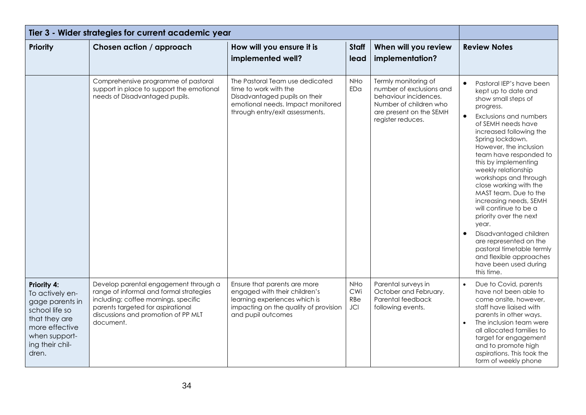| Tier 3 - Wider strategies for current academic year                                                                                                 |                                                                                                                                                                                                                   |                                                                                                                                                                   |                                        |                                                                                                                                                     |                                                                                                                                                                                                                                                                                                                                                                                                                                                                                                                                                                                                                         |
|-----------------------------------------------------------------------------------------------------------------------------------------------------|-------------------------------------------------------------------------------------------------------------------------------------------------------------------------------------------------------------------|-------------------------------------------------------------------------------------------------------------------------------------------------------------------|----------------------------------------|-----------------------------------------------------------------------------------------------------------------------------------------------------|-------------------------------------------------------------------------------------------------------------------------------------------------------------------------------------------------------------------------------------------------------------------------------------------------------------------------------------------------------------------------------------------------------------------------------------------------------------------------------------------------------------------------------------------------------------------------------------------------------------------------|
| <b>Priority</b>                                                                                                                                     | Chosen action / approach                                                                                                                                                                                          | How will you ensure it is<br>implemented well?                                                                                                                    | <b>Staff</b><br>lead                   | When will you review<br>implementation?                                                                                                             | <b>Review Notes</b>                                                                                                                                                                                                                                                                                                                                                                                                                                                                                                                                                                                                     |
|                                                                                                                                                     | Comprehensive programme of pastoral<br>support in place to support the emotional<br>needs of Disadvantaged pupils.                                                                                                | The Pastoral Team use dedicated<br>time to work with the<br>Disadvantaged pupils on their<br>emotional needs. Impact monitored<br>through entry/exit assessments. | <b>NHo</b><br>EDa                      | Termly monitoring of<br>number of exclusions and<br>behaviour incidences.<br>Number of children who<br>are present on the SEMH<br>register reduces. | Pastoral IEP's have been<br>$\bullet$<br>kept up to date and<br>show small steps of<br>progress.<br>Exclusions and numbers<br>of SEMH needs have<br>increased following the<br>Spring lockdown.<br>However, the inclusion<br>team have responded to<br>this by implementing<br>weekly relationship<br>workshops and through<br>close working with the<br>MAST team. Due to the<br>increasing needs, SEMH<br>will continue to be a<br>priority over the next<br>year.<br>Disadvantaged children<br>are represented on the<br>pastoral timetable termly<br>and flexible approaches<br>have been used during<br>this time. |
| Priority 4:<br>To actively en-<br>gage parents in<br>school life so<br>that they are<br>more effective<br>when support-<br>ing their chil-<br>dren. | Develop parental engagement through a<br>range of informal and formal strategies<br>including; coffee mornings, specific<br>parents targeted for aspirational<br>discussions and promotion of PP MLT<br>document. | Ensure that parents are more<br>engaged with their children's<br>learning experiences which is<br>impacting on the quality of provision<br>and pupil outcomes     | <b>NHo</b><br>CWi<br>RBe<br><b>JCI</b> | Parental surveys in<br>October and February.<br>Parental feedback<br>following events.                                                              | Due to Covid, parents<br>have not been able to<br>come onsite, however,<br>staff have liaised with<br>parents in other ways.<br>The inclusion team were<br>all allocated families to<br>target for engagement<br>and to promote high<br>aspirations. This took the<br>form of weekly phone                                                                                                                                                                                                                                                                                                                              |